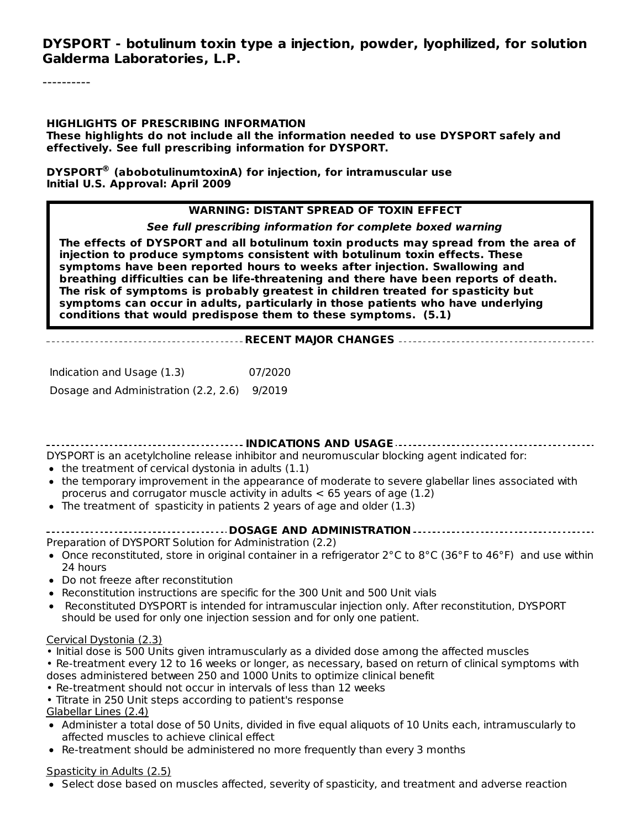**DYSPORT - botulinum toxin type a injection, powder, lyophilized, for solution Galderma Laboratories, L.P.**

#### **HIGHLIGHTS OF PRESCRIBING INFORMATION**

**These highlights do not include all the information needed to use DYSPORT safely and effectively. See full prescribing information for DYSPORT.**

**DYSPORT (abobotulinumtoxinA) for injection, for intramuscular use ®Initial U.S. Approval: April 2009**

#### **WARNING: DISTANT SPREAD OF TOXIN EFFECT**

**See full prescribing information for complete boxed warning**

**The effects of DYSPORT and all botulinum toxin products may spread from the area of injection to produce symptoms consistent with botulinum toxin effects. These symptoms have been reported hours to weeks after injection. Swallowing and breathing difficulties can be life-threatening and there have been reports of death. The risk of symptoms is probably greatest in children treated for spasticity but symptoms can occur in adults, particularly in those patients who have underlying conditions that would predispose them to these symptoms. (5.1)**

#### **RECENT MAJOR CHANGES**

Indication and Usage (1.3) 07/2020 Dosage and Administration (2.2, 2.6) 9/2019

**INDICATIONS AND USAGE**

DYSPORT is an acetylcholine release inhibitor and neuromuscular blocking agent indicated for:

- $\bullet$  the treatment of cervical dystonia in adults (1.1)
- the temporary improvement in the appearance of moderate to severe glabellar lines associated with procerus and corrugator muscle activity in adults  $<$  65 years of age (1.2)
- The treatment of spasticity in patients 2 years of age and older (1.3)
- **DOSAGE AND ADMINISTRATION**

Preparation of DYSPORT Solution for Administration (2.2)

- Once reconstituted, store in original container in a refrigerator  $2^{\circ}$ C to  $8^{\circ}$ C (36°F to 46°F) and use within 24 hours
- Do not freeze after reconstitution
- Reconstitution instructions are specific for the 300 Unit and 500 Unit vials
- Reconstituted DYSPORT is intended for intramuscular injection only. After reconstitution, DYSPORT should be used for only one injection session and for only one patient.

#### Cervical Dystonia (2.3)

• Initial dose is 500 Units given intramuscularly as a divided dose among the affected muscles

- Re-treatment every 12 to 16 weeks or longer, as necessary, based on return of clinical symptoms with doses administered between 250 and 1000 Units to optimize clinical benefit
- Re-treatment should not occur in intervals of less than 12 weeks
- Titrate in 250 Unit steps according to patient's response

#### Glabellar Lines (2.4)

- Administer a total dose of 50 Units, divided in five equal aliquots of 10 Units each, intramuscularly to affected muscles to achieve clinical effect
- Re-treatment should be administered no more frequently than every 3 months

#### Spasticity in Adults (2.5)

• Select dose based on muscles affected, severity of spasticity, and treatment and adverse reaction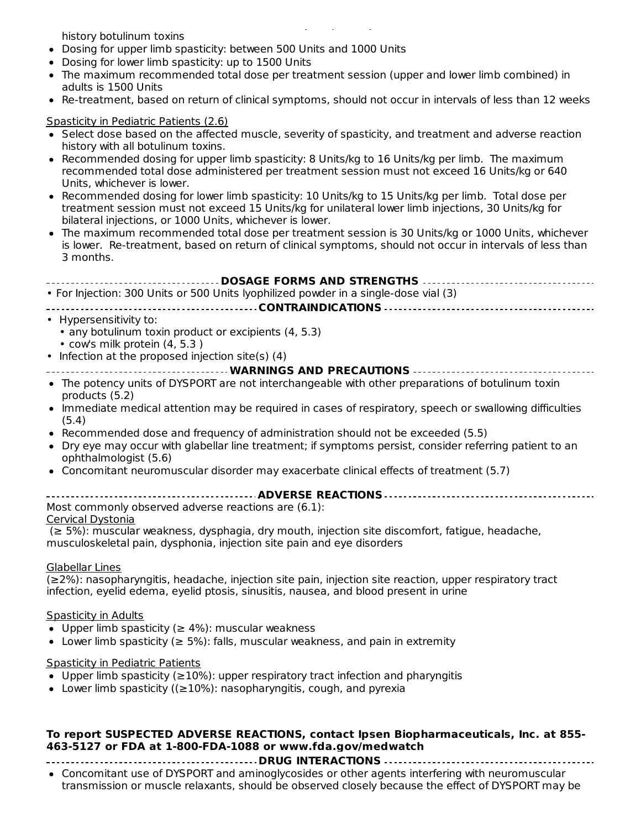Select dose based on muscles affected, severity of spasticity, and treatment and adverse reaction history botulinum toxins

- Dosing for upper limb spasticity: between 500 Units and 1000 Units
- Dosing for lower limb spasticity: up to 1500 Units
- The maximum recommended total dose per treatment session (upper and lower limb combined) in adults is 1500 Units
- Re-treatment, based on return of clinical symptoms, should not occur in intervals of less than 12 weeks  $\bullet$

#### Spasticity in Pediatric Patients (2.6)

- Select dose based on the affected muscle, severity of spasticity, and treatment and adverse reaction history with all botulinum toxins.
- Recommended dosing for upper limb spasticity: 8 Units/kg to 16 Units/kg per limb. The maximum recommended total dose administered per treatment session must not exceed 16 Units/kg or 640 Units, whichever is lower.
- Recommended dosing for lower limb spasticity: 10 Units/kg to 15 Units/kg per limb. Total dose per treatment session must not exceed 15 Units/kg for unilateral lower limb injections, 30 Units/kg for bilateral injections, or 1000 Units, whichever is lower.
- The maximum recommended total dose per treatment session is 30 Units/kg or 1000 Units, whichever is lower. Re-treatment, based on return of clinical symptoms, should not occur in intervals of less than 3 months.

| <b>DOSAGE FORMS AND STRENGTHS </b>                                                                                                |
|-----------------------------------------------------------------------------------------------------------------------------------|
| • For Injection: 300 Units or 500 Units lyophilized powder in a single-dose vial (3)                                              |
|                                                                                                                                   |
| • Hypersensitivity to:                                                                                                            |
| • any botulinum toxin product or excipients (4, 5.3)                                                                              |
| • cow's milk protein (4, 5.3)                                                                                                     |
| • Infection at the proposed injection site(s) (4)                                                                                 |
| ----------------------------------- WARNINGS AND PRECAUTIONS ---------------------------------                                    |
| • The potency units of DYSPORT are not interchangeable with other preparations of botulinum toxin<br>products (5.2)               |
| • Immediate medical attention may be required in cases of respiratory, speech or swallowing difficulties<br>(5.4)                 |
| • Recommended dose and frequency of administration should not be exceeded (5.5)                                                   |
| • Dry eye may occur with glabellar line treatment; if symptoms persist, consider referring patient to an<br>ophthalmologist (5.6) |
| • Concomitant neuromuscular disorder may exacerbate clinical effects of treatment (5.7)                                           |
|                                                                                                                                   |

Most commonly observed adverse reactions are (6.1):

#### Cervical Dystonia

(≥ 5%): muscular weakness, dysphagia, dry mouth, injection site discomfort, fatigue, headache, musculoskeletal pain, dysphonia, injection site pain and eye disorders

#### Glabellar Lines

(≥2%): nasopharyngitis, headache, injection site pain, injection site reaction, upper respiratory tract infection, eyelid edema, eyelid ptosis, sinusitis, nausea, and blood present in urine

#### Spasticity in Adults

- $\bullet$  Upper limb spasticity (≥ 4%): muscular weakness
- Lower limb spasticity ( $≥$  5%): falls, muscular weakness, and pain in extremity

#### Spasticity in Pediatric Patients

- $\bullet$  Upper limb spasticity (≥10%): upper respiratory tract infection and pharyngitis
- Lower limb spasticity ( $(≥10%)$ : nasopharyngitis, cough, and pyrexia

#### **To report SUSPECTED ADVERSE REACTIONS, contact Ipsen Biopharmaceuticals, Inc. at 855- 463-5127 or FDA at 1-800-FDA-1088 or www.fda.gov/medwatch**

**DRUG INTERACTIONS**

Concomitant use of DYSPORT and aminoglycosides or other agents interfering with neuromuscular transmission or muscle relaxants, should be observed closely because the effect of DYSPORT may be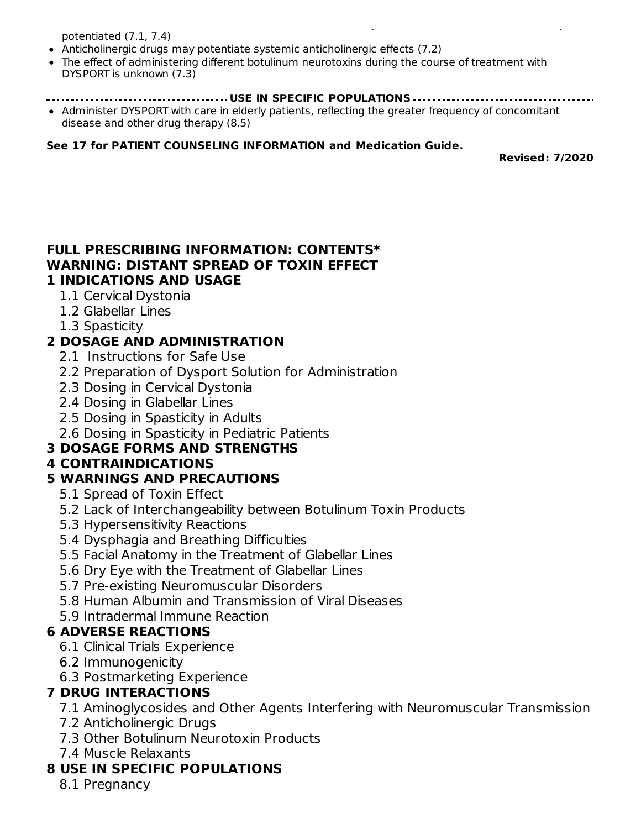potentiated (7.1, 7.4)

- Anticholinergic drugs may potentiate systemic anticholinergic effects (7.2)
- The effect of administering different botulinum neurotoxins during the course of treatment with DYSPORT is unknown (7.3)
- **USE IN SPECIFIC POPULATIONS**

transmission or muscle relaxants, should be observed closely because the effect of DYSPORT may be

Administer DYSPORT with care in elderly patients, reflecting the greater frequency of concomitant disease and other drug therapy (8.5)

#### **See 17 for PATIENT COUNSELING INFORMATION and Medication Guide.**

**Revised: 7/2020**

#### **FULL PRESCRIBING INFORMATION: CONTENTS\* WARNING: DISTANT SPREAD OF TOXIN EFFECT 1 INDICATIONS AND USAGE**

- 1.1 Cervical Dystonia
- 1.2 Glabellar Lines
- 1.3 Spasticity

# **2 DOSAGE AND ADMINISTRATION**

- 2.1 Instructions for Safe Use
- 2.2 Preparation of Dysport Solution for Administration
- 2.3 Dosing in Cervical Dystonia
- 2.4 Dosing in Glabellar Lines
- 2.5 Dosing in Spasticity in Adults
- 2.6 Dosing in Spasticity in Pediatric Patients

# **3 DOSAGE FORMS AND STRENGTHS**

### **4 CONTRAINDICATIONS**

### **5 WARNINGS AND PRECAUTIONS**

- 5.1 Spread of Toxin Effect
- 5.2 Lack of Interchangeability between Botulinum Toxin Products
- 5.3 Hypersensitivity Reactions
- 5.4 Dysphagia and Breathing Difficulties
- 5.5 Facial Anatomy in the Treatment of Glabellar Lines
- 5.6 Dry Eye with the Treatment of Glabellar Lines
- 5.7 Pre-existing Neuromuscular Disorders
- 5.8 Human Albumin and Transmission of Viral Diseases
- 5.9 Intradermal Immune Reaction

### **6 ADVERSE REACTIONS**

- 6.1 Clinical Trials Experience
- 6.2 Immunogenicity
- 6.3 Postmarketing Experience

# **7 DRUG INTERACTIONS**

- 7.1 Aminoglycosides and Other Agents Interfering with Neuromuscular Transmission
- 7.2 Anticholinergic Drugs
- 7.3 Other Botulinum Neurotoxin Products
- 7.4 Muscle Relaxants

# **8 USE IN SPECIFIC POPULATIONS**

8.1 Pregnancy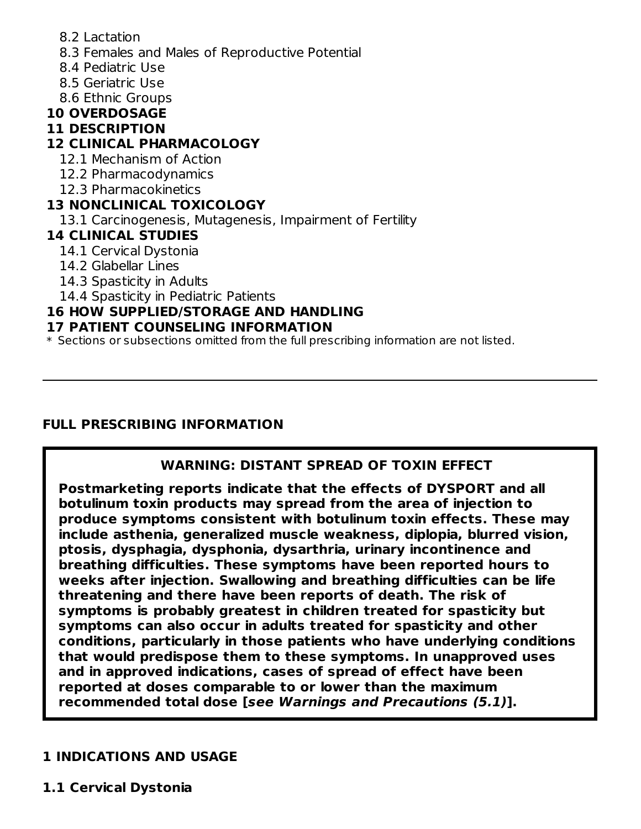- 8.2 Lactation
- 8.3 Females and Males of Reproductive Potential
- 8.4 Pediatric Use
- 8.5 Geriatric Use
- 8.6 Ethnic Groups

# **10 OVERDOSAGE**

# **11 DESCRIPTION**

# **12 CLINICAL PHARMACOLOGY**

- 12.1 Mechanism of Action
- 12.2 Pharmacodynamics
- 12.3 Pharmacokinetics

## **13 NONCLINICAL TOXICOLOGY**

13.1 Carcinogenesis, Mutagenesis, Impairment of Fertility

### **14 CLINICAL STUDIES**

- 14.1 Cervical Dystonia
- 14.2 Glabellar Lines
- 14.3 Spasticity in Adults
- 14.4 Spasticity in Pediatric Patients

# **16 HOW SUPPLIED/STORAGE AND HANDLING**

### **17 PATIENT COUNSELING INFORMATION**

\* Sections or subsections omitted from the full prescribing information are not listed.

# **FULL PRESCRIBING INFORMATION**

# **WARNING: DISTANT SPREAD OF TOXIN EFFECT**

**Postmarketing reports indicate that the effects of DYSPORT and all botulinum toxin products may spread from the area of injection to produce symptoms consistent with botulinum toxin effects. These may include asthenia, generalized muscle weakness, diplopia, blurred vision, ptosis, dysphagia, dysphonia, dysarthria, urinary incontinence and breathing difficulties. These symptoms have been reported hours to weeks after injection. Swallowing and breathing difficulties can be life threatening and there have been reports of death. The risk of symptoms is probably greatest in children treated for spasticity but symptoms can also occur in adults treated for spasticity and other conditions, particularly in those patients who have underlying conditions that would predispose them to these symptoms. In unapproved uses and in approved indications, cases of spread of effect have been reported at doses comparable to or lower than the maximum recommended total dose [see Warnings and Precautions (5.1)].**

# **1 INDICATIONS AND USAGE**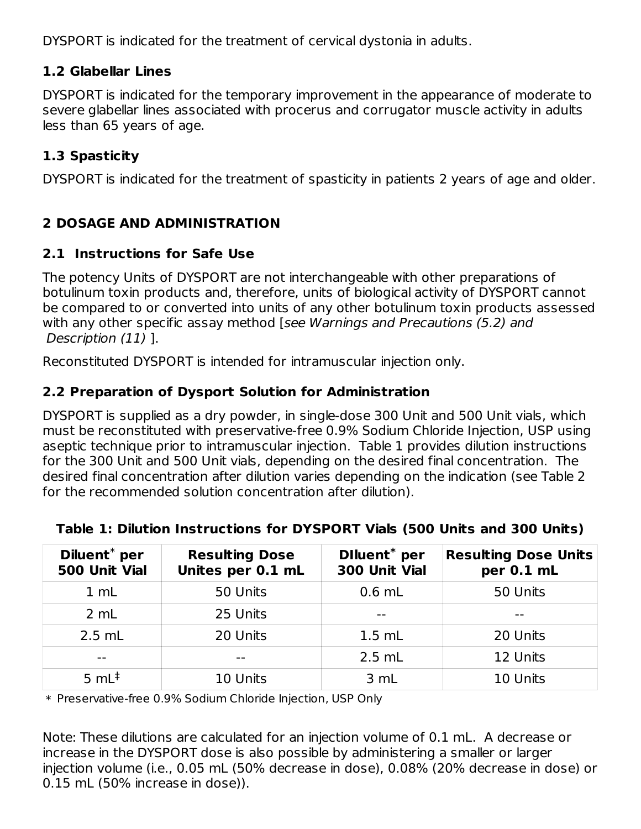DYSPORT is indicated for the treatment of cervical dystonia in adults.

# **1.2 Glabellar Lines**

DYSPORT is indicated for the temporary improvement in the appearance of moderate to severe glabellar lines associated with procerus and corrugator muscle activity in adults less than 65 years of age.

# **1.3 Spasticity**

DYSPORT is indicated for the treatment of spasticity in patients 2 years of age and older.

# **2 DOSAGE AND ADMINISTRATION**

# **2.1 Instructions for Safe Use**

The potency Units of DYSPORT are not interchangeable with other preparations of botulinum toxin products and, therefore, units of biological activity of DYSPORT cannot be compared to or converted into units of any other botulinum toxin products assessed with any other specific assay method [see Warnings and Precautions (5.2) and Description (11) ].

Reconstituted DYSPORT is intended for intramuscular injection only.

# **2.2 Preparation of Dysport Solution for Administration**

DYSPORT is supplied as a dry powder, in single-dose 300 Unit and 500 Unit vials, which must be reconstituted with preservative-free 0.9% Sodium Chloride Injection, USP using aseptic technique prior to intramuscular injection. Table 1 provides dilution instructions for the 300 Unit and 500 Unit vials, depending on the desired final concentration. The desired final concentration after dilution varies depending on the indication (see Table 2 for the recommended solution concentration after dilution).

| Diluent <sup>*</sup> per<br>500 Unit Vial | <b>Resulting Dose</b><br>Unites per 0.1 mL | Diluent <sup>*</sup> per<br>300 Unit Vial | <b>Resulting Dose Units</b><br>per 0.1 mL |
|-------------------------------------------|--------------------------------------------|-------------------------------------------|-------------------------------------------|
| 1 mL                                      | 50 Units                                   | $0.6$ mL                                  | 50 Units                                  |
| 2 mL                                      | 25 Units                                   | $ -$                                      |                                           |
| $2.5$ mL                                  | 20 Units                                   | $1.5$ mL                                  | 20 Units                                  |
|                                           | $- -$                                      | $2.5$ mL                                  | 12 Units                                  |
| 5 $mL‡$                                   | 10 Units                                   | 3 mL                                      | 10 Units                                  |

# **Table 1: Dilution Instructions for DYSPORT Vials (500 Units and 300 Units)**

\* Preservative-free 0.9% Sodium Chloride Injection, USP Only

Note: These dilutions are calculated for an injection volume of 0.1 mL. A decrease or increase in the DYSPORT dose is also possible by administering a smaller or larger injection volume (i.e., 0.05 mL (50% decrease in dose), 0.08% (20% decrease in dose) or 0.15 mL (50% increase in dose)).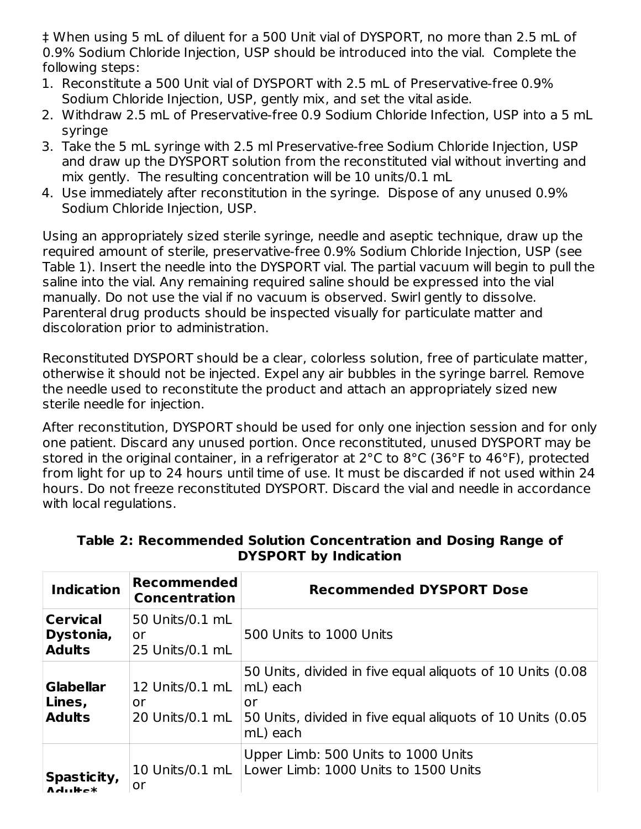‡ When using 5 mL of diluent for a 500 Unit vial of DYSPORT, no more than 2.5 mL of 0.9% Sodium Chloride Injection, USP should be introduced into the vial. Complete the following steps:

- 1. Reconstitute a 500 Unit vial of DYSPORT with 2.5 mL of Preservative-free 0.9% Sodium Chloride Injection, USP, gently mix, and set the vital aside.
- 2. Withdraw 2.5 mL of Preservative-free 0.9 Sodium Chloride Infection, USP into a 5 mL syringe
- 3. Take the 5 mL syringe with 2.5 ml Preservative-free Sodium Chloride Injection, USP and draw up the DYSPORT solution from the reconstituted vial without inverting and mix gently. The resulting concentration will be 10 units/0.1 mL
- 4. Use immediately after reconstitution in the syringe. Dispose of any unused 0.9% Sodium Chloride Injection, USP.

Using an appropriately sized sterile syringe, needle and aseptic technique, draw up the required amount of sterile, preservative-free 0.9% Sodium Chloride Injection, USP (see Table 1). Insert the needle into the DYSPORT vial. The partial vacuum will begin to pull the saline into the vial. Any remaining required saline should be expressed into the vial manually. Do not use the vial if no vacuum is observed. Swirl gently to dissolve. Parenteral drug products should be inspected visually for particulate matter and discoloration prior to administration.

Reconstituted DYSPORT should be a clear, colorless solution, free of particulate matter, otherwise it should not be injected. Expel any air bubbles in the syringe barrel. Remove the needle used to reconstitute the product and attach an appropriately sized new sterile needle for injection.

After reconstitution, DYSPORT should be used for only one injection session and for only one patient. Discard any unused portion. Once reconstituted, unused DYSPORT may be stored in the original container, in a refrigerator at 2°C to 8°C (36°F to 46°F), protected from light for up to 24 hours until time of use. It must be discarded if not used within 24 hours. Do not freeze reconstituted DYSPORT. Discard the vial and needle in accordance with local regulations.

| <b>Indication</b>                             | <b>Recommended</b><br><b>Concentration</b> | <b>Recommended DYSPORT Dose</b>                                                                                                                         |
|-----------------------------------------------|--------------------------------------------|---------------------------------------------------------------------------------------------------------------------------------------------------------|
| <b>Cervical</b><br>Dystonia,<br><b>Adults</b> | 50 Units/0.1 mL<br>or<br>25 Units/0.1 mL   | 500 Units to 1000 Units                                                                                                                                 |
| <b>Glabellar</b><br>Lines,<br><b>Adults</b>   | 12 Units/0.1 mL<br>or<br>20 Units/0.1 mL   | 50 Units, divided in five equal aliquots of 10 Units (0.08)<br>mL) each<br>or<br>50 Units, divided in five equal aliquots of 10 Units (0.05<br>mL) each |
| Spasticity,<br>$A$ aliika $x$                 | 10 Units/0.1 mL<br>or                      | Upper Limb: 500 Units to 1000 Units<br>Lower Limb: 1000 Units to 1500 Units                                                                             |

#### **Table 2: Recommended Solution Concentration and Dosing Range of DYSPORT by Indication**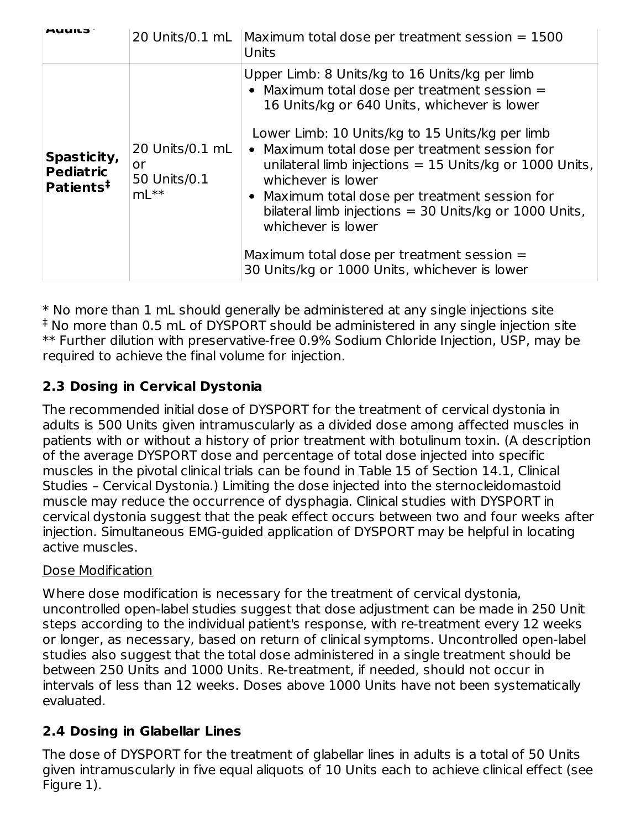| Auuild                                                   | 20 Units/0.1 mL                                    | Maximum total dose per treatment session = 1500<br>Units                                                                                                                                                                                                                                                                 |
|----------------------------------------------------------|----------------------------------------------------|--------------------------------------------------------------------------------------------------------------------------------------------------------------------------------------------------------------------------------------------------------------------------------------------------------------------------|
| Spasticity,<br><b>Pediatric</b><br>Patients <sup>#</sup> |                                                    | Upper Limb: 8 Units/kg to 16 Units/kg per limb<br>• Maximum total dose per treatment session $=$<br>16 Units/kg or 640 Units, whichever is lower                                                                                                                                                                         |
|                                                          | 20 Units/0.1 mL<br>or<br>50 Units/0.1<br>$mL^{**}$ | Lower Limb: 10 Units/kg to 15 Units/kg per limb<br>• Maximum total dose per treatment session for<br>unilateral limb injections = $15$ Units/kg or 1000 Units,<br>whichever is lower<br>• Maximum total dose per treatment session for<br>bilateral limb injections = $30$ Units/kg or 1000 Units,<br>whichever is lower |
|                                                          |                                                    | Maximum total dose per treatment session =<br>30 Units/kg or 1000 Units, whichever is lower                                                                                                                                                                                                                              |

\* No more than 1 mL should generally be administered at any single injections site <sup>‡</sup> No more than 0.5 mL of DYSPORT should be administered in any single injection site \*\* Further dilution with preservative-free 0.9% Sodium Chloride Injection, USP, may be required to achieve the final volume for injection.

# **2.3 Dosing in Cervical Dystonia**

The recommended initial dose of DYSPORT for the treatment of cervical dystonia in adults is 500 Units given intramuscularly as a divided dose among affected muscles in patients with or without a history of prior treatment with botulinum toxin. (A description of the average DYSPORT dose and percentage of total dose injected into specific muscles in the pivotal clinical trials can be found in Table 15 of Section 14.1, Clinical Studies – Cervical Dystonia.) Limiting the dose injected into the sternocleidomastoid muscle may reduce the occurrence of dysphagia. Clinical studies with DYSPORT in cervical dystonia suggest that the peak effect occurs between two and four weeks after injection. Simultaneous EMG-guided application of DYSPORT may be helpful in locating active muscles.

# Dose Modification

Where dose modification is necessary for the treatment of cervical dystonia, uncontrolled open-label studies suggest that dose adjustment can be made in 250 Unit steps according to the individual patient's response, with re-treatment every 12 weeks or longer, as necessary, based on return of clinical symptoms. Uncontrolled open-label studies also suggest that the total dose administered in a single treatment should be between 250 Units and 1000 Units. Re-treatment, if needed, should not occur in intervals of less than 12 weeks. Doses above 1000 Units have not been systematically evaluated.

# **2.4 Dosing in Glabellar Lines**

The dose of DYSPORT for the treatment of glabellar lines in adults is a total of 50 Units given intramuscularly in five equal aliquots of 10 Units each to achieve clinical effect (see Figure 1).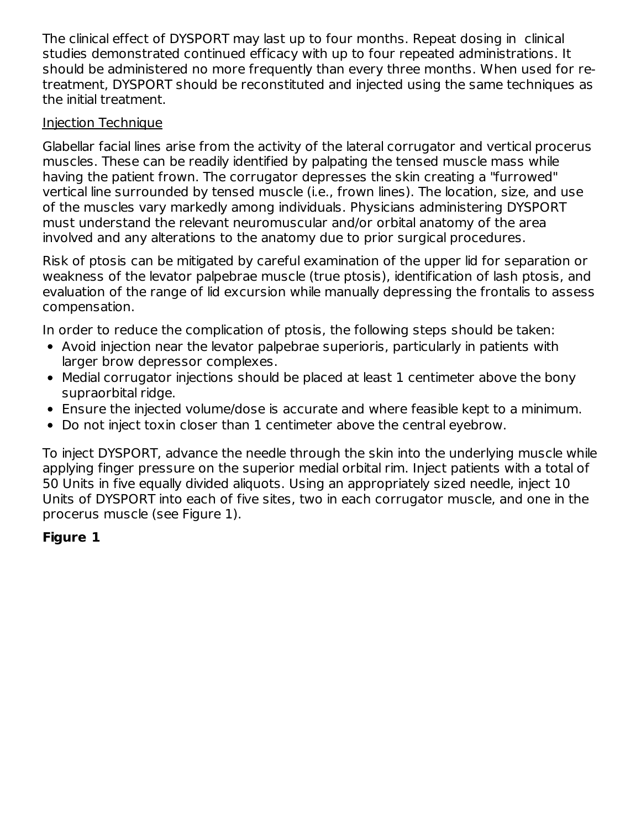The clinical effect of DYSPORT may last up to four months. Repeat dosing in clinical studies demonstrated continued efficacy with up to four repeated administrations. It should be administered no more frequently than every three months. When used for retreatment, DYSPORT should be reconstituted and injected using the same techniques as the initial treatment.

## Injection Technique

Glabellar facial lines arise from the activity of the lateral corrugator and vertical procerus muscles. These can be readily identified by palpating the tensed muscle mass while having the patient frown. The corrugator depresses the skin creating a "furrowed" vertical line surrounded by tensed muscle (i.e., frown lines). The location, size, and use of the muscles vary markedly among individuals. Physicians administering DYSPORT must understand the relevant neuromuscular and/or orbital anatomy of the area involved and any alterations to the anatomy due to prior surgical procedures.

Risk of ptosis can be mitigated by careful examination of the upper lid for separation or weakness of the levator palpebrae muscle (true ptosis), identification of lash ptosis, and evaluation of the range of lid excursion while manually depressing the frontalis to assess compensation.

In order to reduce the complication of ptosis, the following steps should be taken:

- Avoid injection near the levator palpebrae superioris, particularly in patients with larger brow depressor complexes.
- Medial corrugator injections should be placed at least 1 centimeter above the bony supraorbital ridge.
- Ensure the injected volume/dose is accurate and where feasible kept to a minimum.
- Do not inject toxin closer than 1 centimeter above the central eyebrow.

To inject DYSPORT, advance the needle through the skin into the underlying muscle while applying finger pressure on the superior medial orbital rim. Inject patients with a total of 50 Units in five equally divided aliquots. Using an appropriately sized needle, inject 10 Units of DYSPORT into each of five sites, two in each corrugator muscle, and one in the procerus muscle (see Figure 1).

# **Figure 1**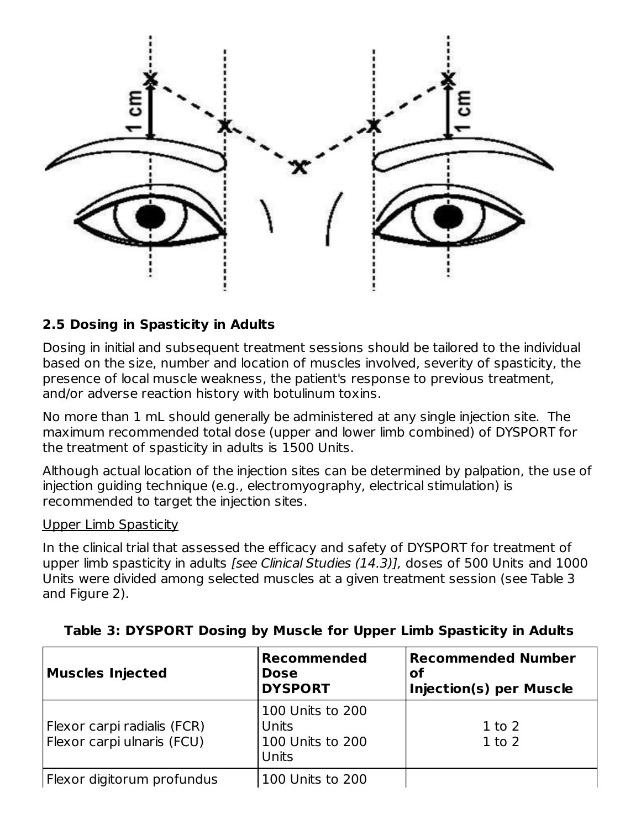

## **2.5 Dosing in Spasticity in Adults**

Dosing in initial and subsequent treatment sessions should be tailored to the individual based on the size, number and location of muscles involved, severity of spasticity, the presence of local muscle weakness, the patient's response to previous treatment, and/or adverse reaction history with botulinum toxins.

No more than 1 mL should generally be administered at any single injection site. The maximum recommended total dose (upper and lower limb combined) of DYSPORT for the treatment of spasticity in adults is 1500 Units.

Although actual location of the injection sites can be determined by palpation, the use of injection guiding technique (e.g., electromyography, electrical stimulation) is recommended to target the injection sites.

#### Upper Limb Spasticity

In the clinical trial that assessed the efficacy and safety of DYSPORT for treatment of upper limb spasticity in adults [see Clinical Studies (14.3)], doses of 500 Units and 1000 Units were divided among selected muscles at a given treatment session (see Table 3 and Figure 2).

| <b>Muscles Injected</b>                                   | <b>Recommended</b><br><b>Dose</b><br><b>DYSPORT</b>    | <b>Recommended Number</b><br>of<br><b>Injection(s) per Muscle</b> |  |
|-----------------------------------------------------------|--------------------------------------------------------|-------------------------------------------------------------------|--|
| Flexor carpi radialis (FCR)<br>Flexor carpi ulnaris (FCU) | 100 Units to 200<br>Units<br>100 Units to 200<br>Units | $1$ to $2$<br>$1$ to $2$                                          |  |
| Flexor digitorum profundus                                | 100 Units to 200                                       |                                                                   |  |

#### **Table 3: DYSPORT Dosing by Muscle for Upper Limb Spasticity in Adults**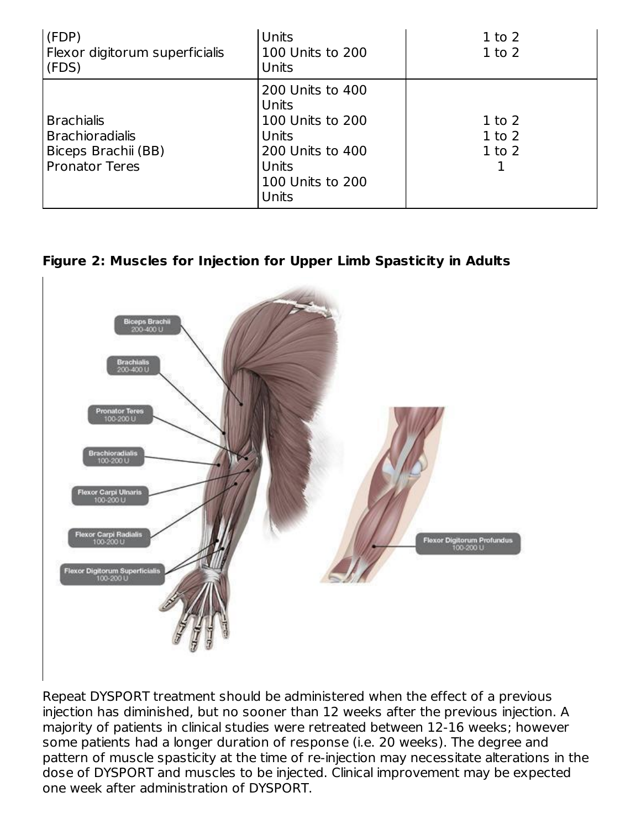| (FDP)<br>Flexor digitorum superficialis<br>(FDS)                                            | Units<br>100 Units to 200<br>Units                                                                               | $1$ to $2$<br>$1$ to $2$               |
|---------------------------------------------------------------------------------------------|------------------------------------------------------------------------------------------------------------------|----------------------------------------|
| <b>Brachialis</b><br><b>Brachioradialis</b><br>Biceps Brachii (BB)<br><b>Pronator Teres</b> | 200 Units to 400<br>Units<br>100 Units to 200<br>Units<br>200 Units to 400<br>Units<br>100 Units to 200<br>Units | $1$ to $2$<br>$1$ to $2$<br>$1$ to $2$ |

**Figure 2: Muscles for Injection for Upper Limb Spasticity in Adults**



Repeat DYSPORT treatment should be administered when the effect of a previous injection has diminished, but no sooner than 12 weeks after the previous injection. A majority of patients in clinical studies were retreated between 12-16 weeks; however some patients had a longer duration of response (i.e. 20 weeks). The degree and pattern of muscle spasticity at the time of re-injection may necessitate alterations in the dose of DYSPORT and muscles to be injected. Clinical improvement may be expected one week after administration of DYSPORT.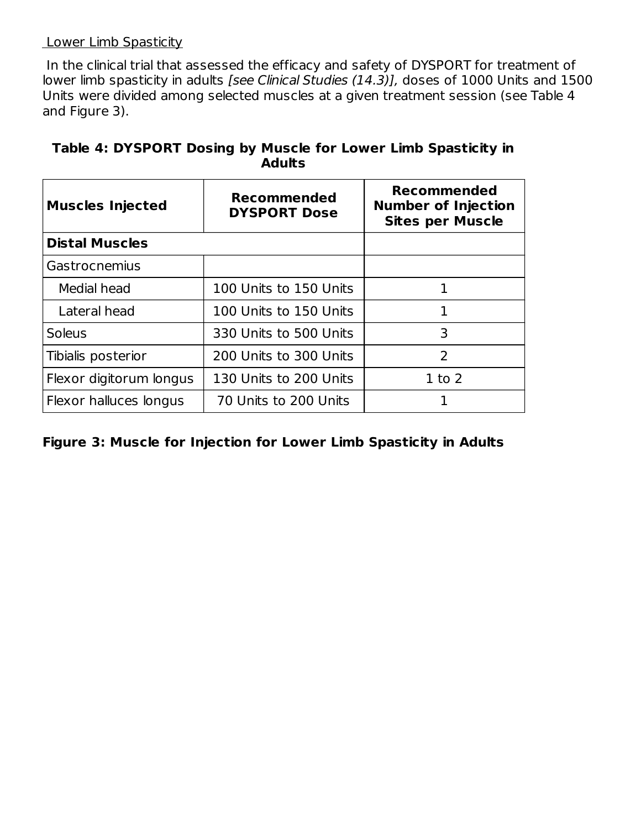#### Lower Limb Spasticity

In the clinical trial that assessed the efficacy and safety of DYSPORT for treatment of lower limb spasticity in adults [see Clinical Studies (14.3)], doses of 1000 Units and 1500 Units were divided among selected muscles at a given treatment session (see Table 4 and Figure 3).

| <b>Muscles Injected</b> | <b>Recommended</b><br><b>DYSPORT Dose</b> | <b>Recommended</b><br><b>Number of Injection</b><br><b>Sites per Muscle</b> |
|-------------------------|-------------------------------------------|-----------------------------------------------------------------------------|
| <b>Distal Muscles</b>   |                                           |                                                                             |
| Gastrocnemius           |                                           |                                                                             |
| Medial head             | 100 Units to 150 Units                    | 1                                                                           |
| Lateral head            | 100 Units to 150 Units                    | 1                                                                           |
| <b>Soleus</b>           | 330 Units to 500 Units                    | 3                                                                           |
| Tibialis posterior      | 200 Units to 300 Units                    | $\overline{2}$                                                              |
| Flexor digitorum longus | 130 Units to 200 Units                    | $1$ to $2$                                                                  |
| Flexor halluces longus  | 70 Units to 200 Units                     |                                                                             |

# **Table 4: DYSPORT Dosing by Muscle for Lower Limb Spasticity in Adults**

# **Figure 3: Muscle for Injection for Lower Limb Spasticity in Adults**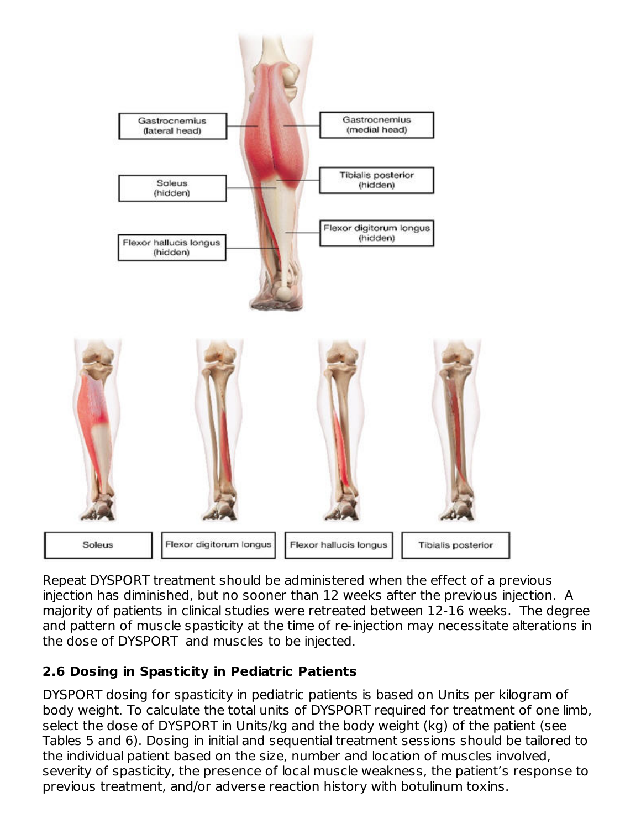

Repeat DYSPORT treatment should be administered when the effect of a previous injection has diminished, but no sooner than 12 weeks after the previous injection. A majority of patients in clinical studies were retreated between 12-16 weeks. The degree and pattern of muscle spasticity at the time of re-injection may necessitate alterations in the dose of DYSPORT and muscles to be injected.

# **2.6 Dosing in Spasticity in Pediatric Patients**

DYSPORT dosing for spasticity in pediatric patients is based on Units per kilogram of body weight. To calculate the total units of DYSPORT required for treatment of one limb, select the dose of DYSPORT in Units/kg and the body weight (kg) of the patient (see Tables 5 and 6). Dosing in initial and sequential treatment sessions should be tailored to the individual patient based on the size, number and location of muscles involved, severity of spasticity, the presence of local muscle weakness, the patient's response to previous treatment, and/or adverse reaction history with botulinum toxins.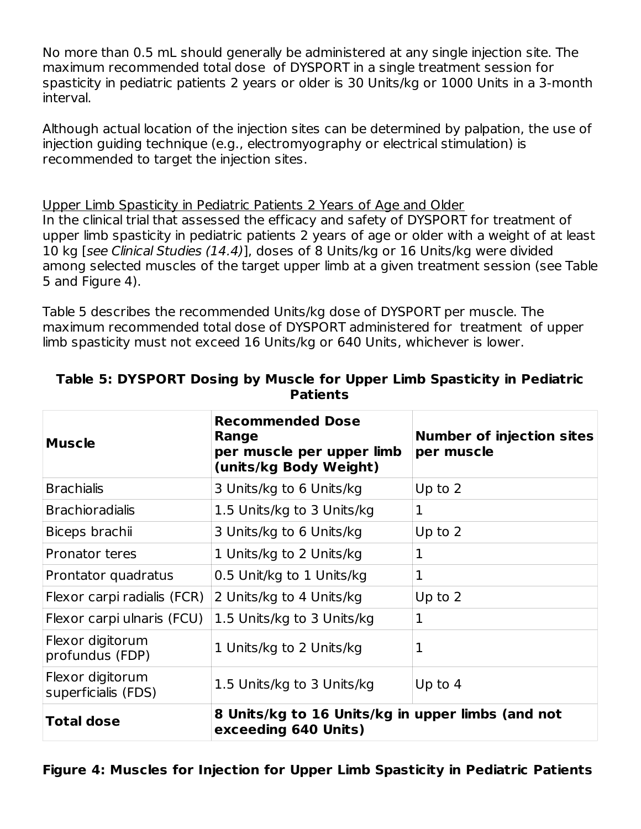No more than 0.5 mL should generally be administered at any single injection site. The maximum recommended total dose of DYSPORT in a single treatment session for spasticity in pediatric patients 2 years or older is 30 Units/kg or 1000 Units in a 3-month interval.

Although actual location of the injection sites can be determined by palpation, the use of injection guiding technique (e.g., electromyography or electrical stimulation) is recommended to target the injection sites.

Upper Limb Spasticity in Pediatric Patients 2 Years of Age and Older In the clinical trial that assessed the efficacy and safety of DYSPORT for treatment of upper limb spasticity in pediatric patients 2 years of age or older with a weight of at least 10 kg [see Clinical Studies (14.4)], doses of 8 Units/kg or 16 Units/kg were divided among selected muscles of the target upper limb at a given treatment session (see Table 5 and Figure 4).

Table 5 describes the recommended Units/kg dose of DYSPORT per muscle. The maximum recommended total dose of DYSPORT administered for treatment of upper limb spasticity must not exceed 16 Units/kg or 640 Units, whichever is lower.

| <b>Muscle</b>                           | <b>Recommended Dose</b><br>Range<br>per muscle per upper limb<br>(units/kg Body Weight) | <b>Number of injection sites</b><br>per muscle |
|-----------------------------------------|-----------------------------------------------------------------------------------------|------------------------------------------------|
| <b>Brachialis</b>                       | 3 Units/kg to 6 Units/kg                                                                | Up to $2$                                      |
| <b>Brachioradialis</b>                  | 1.5 Units/kg to 3 Units/kg                                                              | 1                                              |
| Biceps brachii                          | 3 Units/kg to 6 Units/kg                                                                | Up to $2$                                      |
| <b>Pronator teres</b>                   | 1 Units/kg to 2 Units/kg                                                                | 1                                              |
| Prontator quadratus                     | 0.5 Unit/kg to 1 Units/kg                                                               | 1                                              |
| Flexor carpi radialis (FCR)             | 2 Units/kg to 4 Units/kg                                                                | Up to $2$                                      |
| Flexor carpi ulnaris (FCU)              | 1.5 Units/kg to 3 Units/kg                                                              | 1                                              |
| Flexor digitorum<br>profundus (FDP)     | 1 Units/kg to 2 Units/kg                                                                | 1                                              |
| Flexor digitorum<br>superficialis (FDS) | 1.5 Units/kg to 3 Units/kg                                                              | Up to $4$                                      |
| <b>Total dose</b>                       | 8 Units/kg to 16 Units/kg in upper limbs (and not<br>exceeding 640 Units)               |                                                |

#### **Table 5: DYSPORT Dosing by Muscle for Upper Limb Spasticity in Pediatric Patients**

# **Figure 4: Muscles for Injection for Upper Limb Spasticity in Pediatric Patients**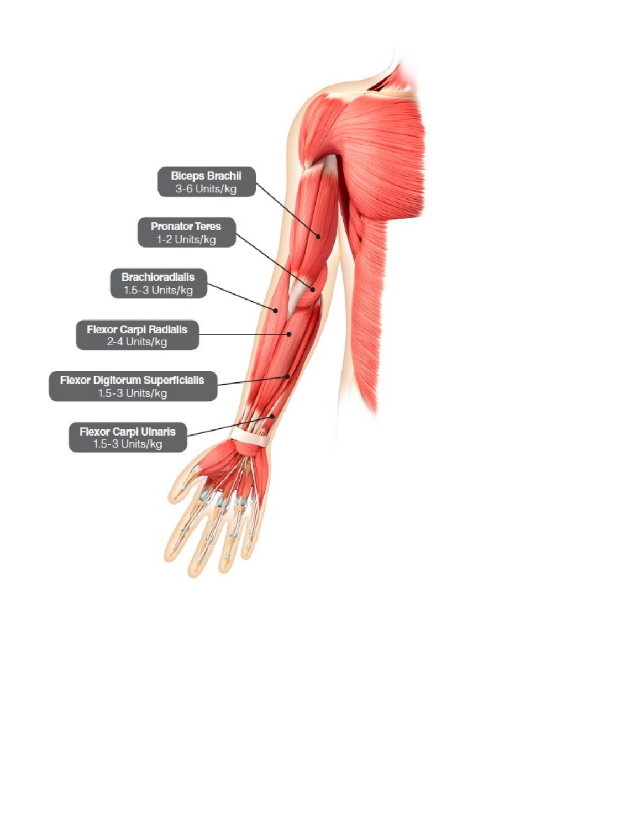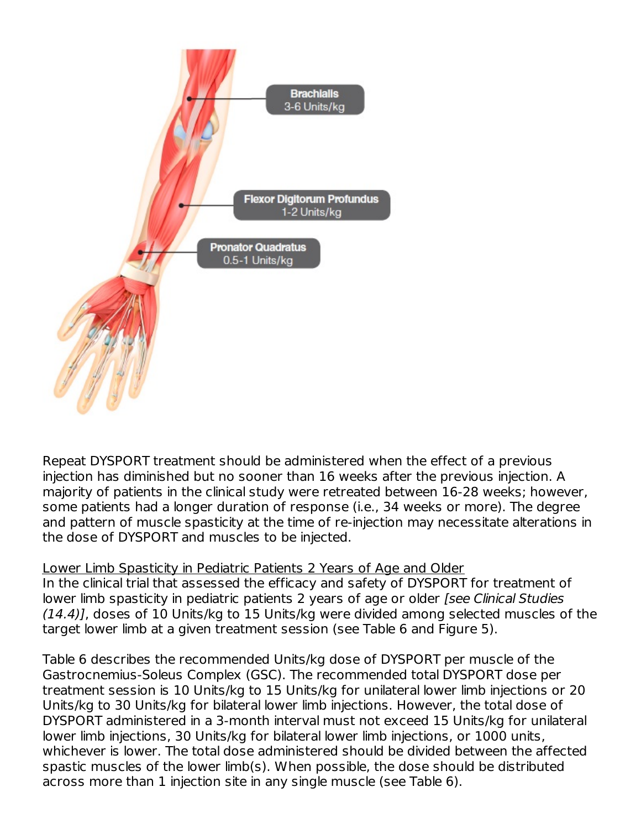

Repeat DYSPORT treatment should be administered when the effect of a previous injection has diminished but no sooner than 16 weeks after the previous injection. A majority of patients in the clinical study were retreated between 16-28 weeks; however, some patients had a longer duration of response (i.e., 34 weeks or more). The degree and pattern of muscle spasticity at the time of re-injection may necessitate alterations in the dose of DYSPORT and muscles to be injected.

### Lower Limb Spasticity in Pediatric Patients 2 Years of Age and Older

In the clinical trial that assessed the efficacy and safety of DYSPORT for treatment of lower limb spasticity in pediatric patients 2 years of age or older [see Clinical Studies (14.4)], doses of 10 Units/kg to 15 Units/kg were divided among selected muscles of the target lower limb at a given treatment session (see Table 6 and Figure 5).

Table 6 describes the recommended Units/kg dose of DYSPORT per muscle of the Gastrocnemius-Soleus Complex (GSC). The recommended total DYSPORT dose per treatment session is 10 Units/kg to 15 Units/kg for unilateral lower limb injections or 20 Units/kg to 30 Units/kg for bilateral lower limb injections. However, the total dose of DYSPORT administered in a 3-month interval must not exceed 15 Units/kg for unilateral lower limb injections, 30 Units/kg for bilateral lower limb injections, or 1000 units, whichever is lower. The total dose administered should be divided between the affected spastic muscles of the lower limb(s). When possible, the dose should be distributed across more than 1 injection site in any single muscle (see Table 6).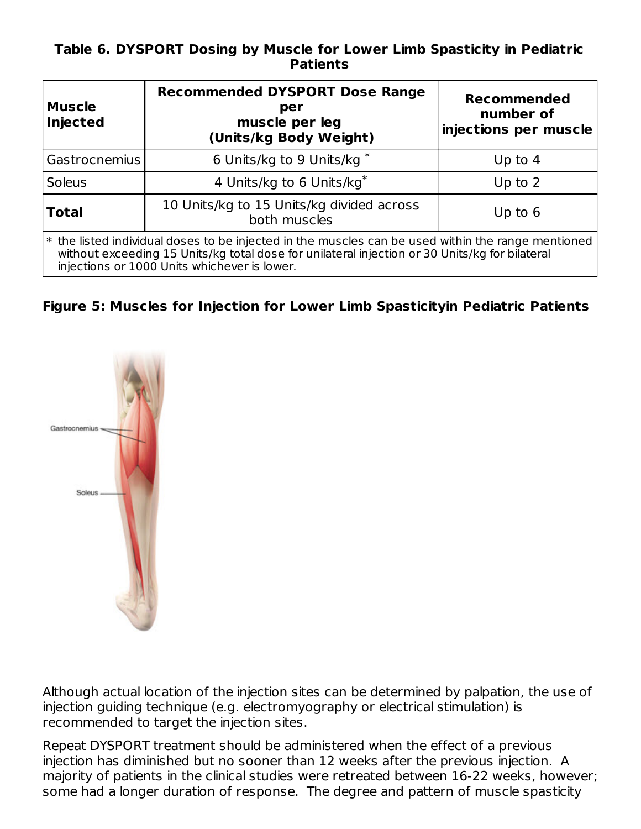#### **Table 6. DYSPORT Dosing by Muscle for Lower Limb Spasticity in Pediatric Patients**

| <b>Muscle</b><br><b>Injected</b>                                                                                                                                                                                                                     | <b>Recommended DYSPORT Dose Range</b><br>per<br>muscle per leg<br>(Units/kg Body Weight) | <b>Recommended</b><br>number of<br>injections per muscle |  |
|------------------------------------------------------------------------------------------------------------------------------------------------------------------------------------------------------------------------------------------------------|------------------------------------------------------------------------------------------|----------------------------------------------------------|--|
| Gastrocnemius                                                                                                                                                                                                                                        | 6 Units/kg to 9 Units/kg *                                                               | Up to $4$                                                |  |
| <b>Soleus</b>                                                                                                                                                                                                                                        | 4 Units/kg to 6 Units/kg <sup>*</sup>                                                    | Up to $2$                                                |  |
| <b>Total</b>                                                                                                                                                                                                                                         | 10 Units/kg to 15 Units/kg divided across<br>both muscles                                | Up to $6$                                                |  |
| * the listed individual doses to be injected in the muscles can be used within the range mentioned<br>without exceeding 15 Units/kg total dose for unilateral injection or 30 Units/kg for bilateral<br>injections or 1000 Units whichever is lower. |                                                                                          |                                                          |  |

### **Figure 5: Muscles for Injection for Lower Limb Spasticityin Pediatric Patients**



Although actual location of the injection sites can be determined by palpation, the use of injection guiding technique (e.g. electromyography or electrical stimulation) is recommended to target the injection sites.

Repeat DYSPORT treatment should be administered when the effect of a previous injection has diminished but no sooner than 12 weeks after the previous injection. A majority of patients in the clinical studies were retreated between 16-22 weeks, however; some had a longer duration of response. The degree and pattern of muscle spasticity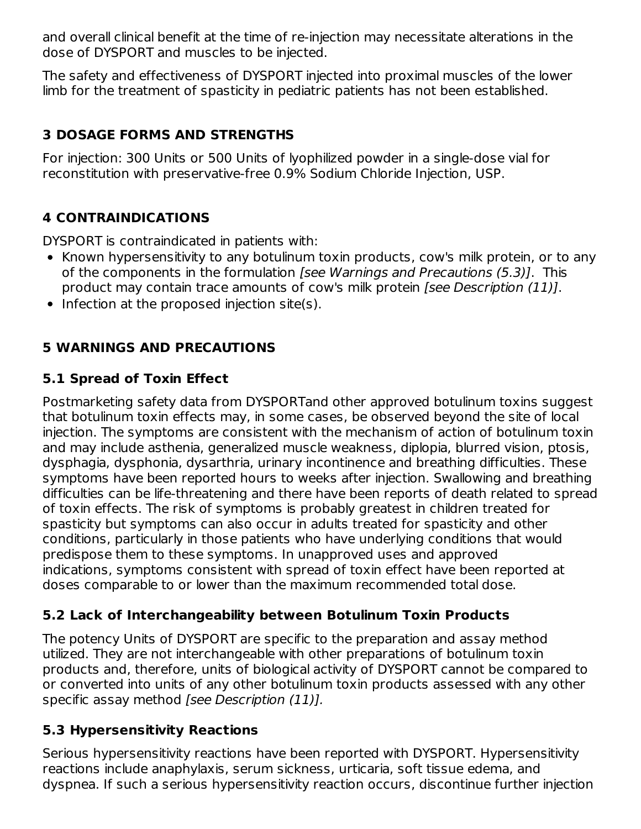and overall clinical benefit at the time of re-injection may necessitate alterations in the dose of DYSPORT and muscles to be injected.

The safety and effectiveness of DYSPORT injected into proximal muscles of the lower limb for the treatment of spasticity in pediatric patients has not been established.

# **3 DOSAGE FORMS AND STRENGTHS**

For injection: 300 Units or 500 Units of lyophilized powder in a single-dose vial for reconstitution with preservative-free 0.9% Sodium Chloride Injection, USP.

# **4 CONTRAINDICATIONS**

DYSPORT is contraindicated in patients with:

- Known hypersensitivity to any botulinum toxin products, cow's milk protein, or to any of the components in the formulation *[see Warnings and Precautions (5.3)]*. This product may contain trace amounts of cow's milk protein [see Description (11)].
- $\bullet$  Infection at the proposed injection site(s).

# **5 WARNINGS AND PRECAUTIONS**

# **5.1 Spread of Toxin Effect**

Postmarketing safety data from DYSPORTand other approved botulinum toxins suggest that botulinum toxin effects may, in some cases, be observed beyond the site of local injection. The symptoms are consistent with the mechanism of action of botulinum toxin and may include asthenia, generalized muscle weakness, diplopia, blurred vision, ptosis, dysphagia, dysphonia, dysarthria, urinary incontinence and breathing difficulties. These symptoms have been reported hours to weeks after injection. Swallowing and breathing difficulties can be life-threatening and there have been reports of death related to spread of toxin effects. The risk of symptoms is probably greatest in children treated for spasticity but symptoms can also occur in adults treated for spasticity and other conditions, particularly in those patients who have underlying conditions that would predispose them to these symptoms. In unapproved uses and approved indications, symptoms consistent with spread of toxin effect have been reported at doses comparable to or lower than the maximum recommended total dose.

# **5.2 Lack of Interchangeability between Botulinum Toxin Products**

The potency Units of DYSPORT are specific to the preparation and assay method utilized. They are not interchangeable with other preparations of botulinum toxin products and, therefore, units of biological activity of DYSPORT cannot be compared to or converted into units of any other botulinum toxin products assessed with any other specific assay method [see Description (11)].

# **5.3 Hypersensitivity Reactions**

Serious hypersensitivity reactions have been reported with DYSPORT. Hypersensitivity reactions include anaphylaxis, serum sickness, urticaria, soft tissue edema, and dyspnea. If such a serious hypersensitivity reaction occurs, discontinue further injection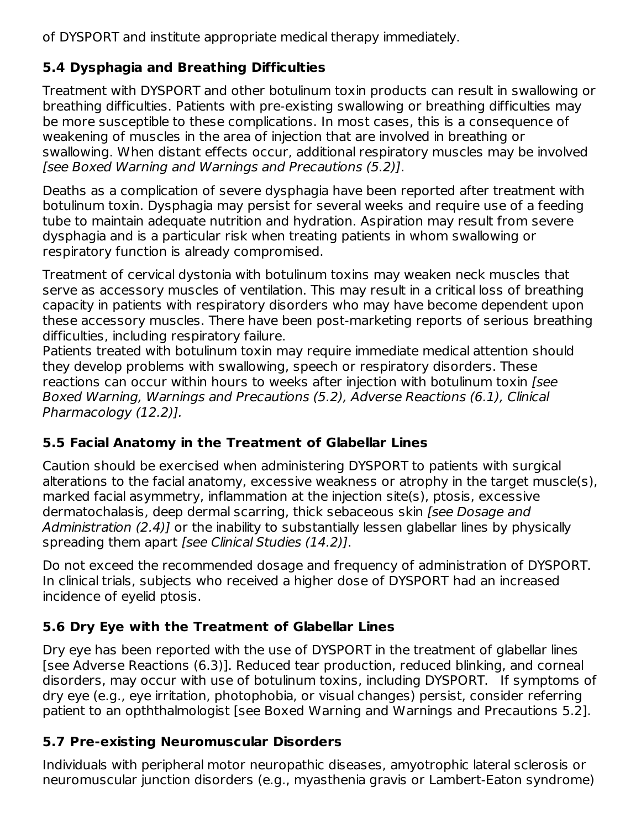of DYSPORT and institute appropriate medical therapy immediately.

# **5.4 Dysphagia and Breathing Difficulties**

Treatment with DYSPORT and other botulinum toxin products can result in swallowing or breathing difficulties. Patients with pre-existing swallowing or breathing difficulties may be more susceptible to these complications. In most cases, this is a consequence of weakening of muscles in the area of injection that are involved in breathing or swallowing. When distant effects occur, additional respiratory muscles may be involved [see Boxed Warning and Warnings and Precautions (5.2)].

Deaths as a complication of severe dysphagia have been reported after treatment with botulinum toxin. Dysphagia may persist for several weeks and require use of a feeding tube to maintain adequate nutrition and hydration. Aspiration may result from severe dysphagia and is a particular risk when treating patients in whom swallowing or respiratory function is already compromised.

Treatment of cervical dystonia with botulinum toxins may weaken neck muscles that serve as accessory muscles of ventilation. This may result in a critical loss of breathing capacity in patients with respiratory disorders who may have become dependent upon these accessory muscles. There have been post-marketing reports of serious breathing difficulties, including respiratory failure.

Patients treated with botulinum toxin may require immediate medical attention should they develop problems with swallowing, speech or respiratory disorders. These reactions can occur within hours to weeks after injection with botulinum toxin (see Boxed Warning, Warnings and Precautions (5.2), Adverse Reactions (6.1), Clinical Pharmacology (12.2)].

# **5.5 Facial Anatomy in the Treatment of Glabellar Lines**

Caution should be exercised when administering DYSPORT to patients with surgical alterations to the facial anatomy, excessive weakness or atrophy in the target muscle(s), marked facial asymmetry, inflammation at the injection site(s), ptosis, excessive dermatochalasis, deep dermal scarring, thick sebaceous skin (see Dosage and Administration (2.4)] or the inability to substantially lessen glabellar lines by physically spreading them apart [see Clinical Studies (14.2)].

Do not exceed the recommended dosage and frequency of administration of DYSPORT. In clinical trials, subjects who received a higher dose of DYSPORT had an increased incidence of eyelid ptosis.

# **5.6 Dry Eye with the Treatment of Glabellar Lines**

Dry eye has been reported with the use of DYSPORT in the treatment of glabellar lines [see Adverse Reactions (6.3)]. Reduced tear production, reduced blinking, and corneal disorders, may occur with use of botulinum toxins, including DYSPORT. If symptoms of dry eye (e.g., eye irritation, photophobia, or visual changes) persist, consider referring patient to an opththalmologist [see Boxed Warning and Warnings and Precautions 5.2].

# **5.7 Pre-existing Neuromuscular Disorders**

Individuals with peripheral motor neuropathic diseases, amyotrophic lateral sclerosis or neuromuscular junction disorders (e.g., myasthenia gravis or Lambert-Eaton syndrome)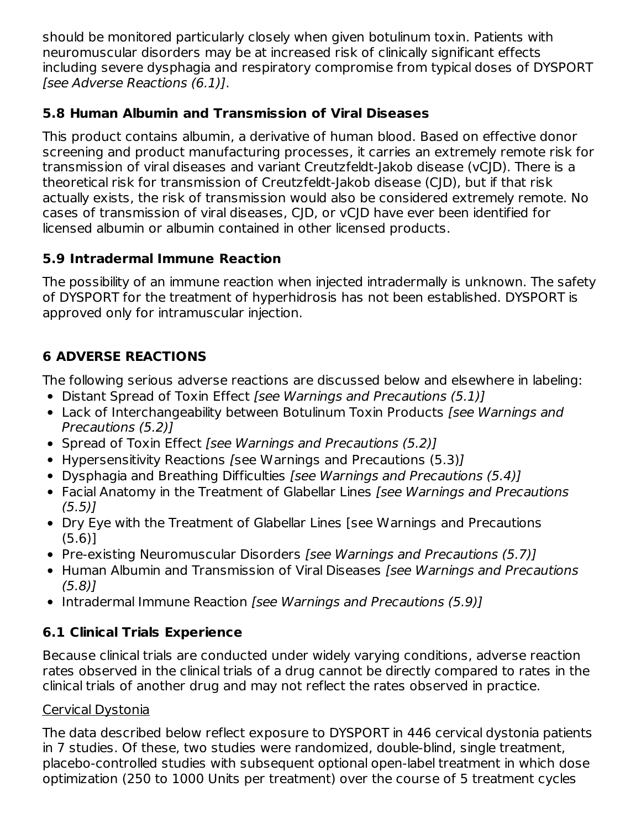should be monitored particularly closely when given botulinum toxin. Patients with neuromuscular disorders may be at increased risk of clinically significant effects including severe dysphagia and respiratory compromise from typical doses of DYSPORT [see Adverse Reactions (6.1)].

# **5.8 Human Albumin and Transmission of Viral Diseases**

This product contains albumin, a derivative of human blood. Based on effective donor screening and product manufacturing processes, it carries an extremely remote risk for transmission of viral diseases and variant Creutzfeldt-Jakob disease (vCJD). There is a theoretical risk for transmission of Creutzfeldt-Jakob disease (CJD), but if that risk actually exists, the risk of transmission would also be considered extremely remote. No cases of transmission of viral diseases, CJD, or vCJD have ever been identified for licensed albumin or albumin contained in other licensed products.

# **5.9 Intradermal Immune Reaction**

The possibility of an immune reaction when injected intradermally is unknown. The safety of DYSPORT for the treatment of hyperhidrosis has not been established. DYSPORT is approved only for intramuscular injection.

# **6 ADVERSE REACTIONS**

The following serious adverse reactions are discussed below and elsewhere in labeling:

- Distant Spread of Toxin Effect [see Warnings and Precautions (5.1)]
- Lack of Interchangeability between Botulinum Toxin Products [see Warnings and Precautions (5.2)]
- Spread of Toxin Effect [see Warnings and Precautions (5.2)]
- Hypersensitivity Reactions [see Warnings and Precautions (5.3)]
- Dysphagia and Breathing Difficulties [see Warnings and Precautions (5.4)]
- Facial Anatomy in the Treatment of Glabellar Lines [see Warnings and Precautions  $(5.5)$
- Dry Eye with the Treatment of Glabellar Lines [see Warnings and Precautions (5.6)]
- Pre-existing Neuromuscular Disorders [see Warnings and Precautions (5.7)]
- Human Albumin and Transmission of Viral Diseases *[see Warnings and Precautions* (5.8)]
- Intradermal Immune Reaction [see Warnings and Precautions (5.9)]

# **6.1 Clinical Trials Experience**

Because clinical trials are conducted under widely varying conditions, adverse reaction rates observed in the clinical trials of a drug cannot be directly compared to rates in the clinical trials of another drug and may not reflect the rates observed in practice.

# Cervical Dystonia

The data described below reflect exposure to DYSPORT in 446 cervical dystonia patients in 7 studies. Of these, two studies were randomized, double-blind, single treatment, placebo-controlled studies with subsequent optional open-label treatment in which dose optimization (250 to 1000 Units per treatment) over the course of 5 treatment cycles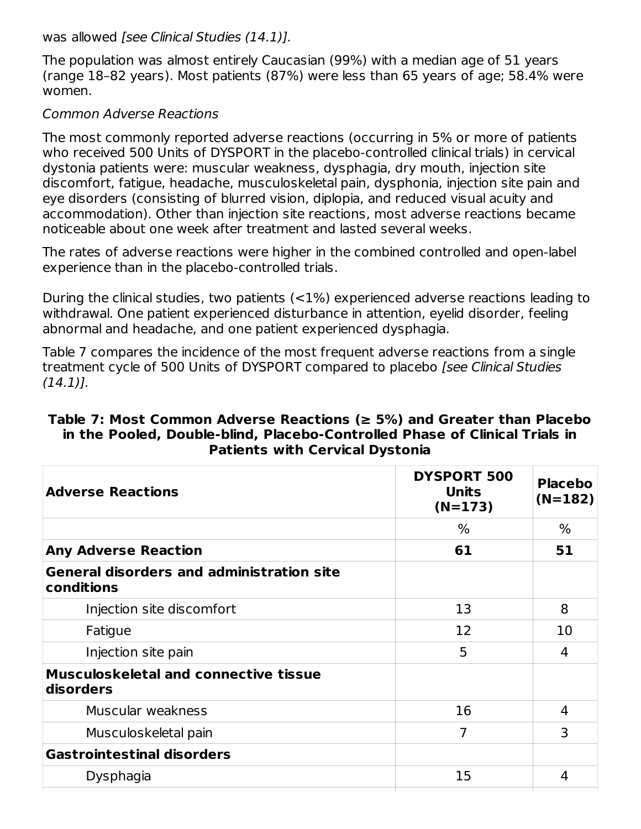was allowed [see Clinical Studies (14.1)].

The population was almost entirely Caucasian (99%) with a median age of 51 years (range 18–82 years). Most patients (87%) were less than 65 years of age; 58.4% were women.

#### Common Adverse Reactions

The most commonly reported adverse reactions (occurring in 5% or more of patients who received 500 Units of DYSPORT in the placebo-controlled clinical trials) in cervical dystonia patients were: muscular weakness, dysphagia, dry mouth, injection site discomfort, fatigue, headache, musculoskeletal pain, dysphonia, injection site pain and eye disorders (consisting of blurred vision, diplopia, and reduced visual acuity and accommodation). Other than injection site reactions, most adverse reactions became noticeable about one week after treatment and lasted several weeks.

The rates of adverse reactions were higher in the combined controlled and open-label experience than in the placebo-controlled trials.

During the clinical studies, two patients (<1%) experienced adverse reactions leading to withdrawal. One patient experienced disturbance in attention, eyelid disorder, feeling abnormal and headache, and one patient experienced dysphagia.

Table 7 compares the incidence of the most frequent adverse reactions from a single treatment cycle of 500 Units of DYSPORT compared to placebo [see Clinical Studies  $(14.1)$ .

#### **Table 7: Most Common Adverse Reactions (≥ 5%) and Greater than Placebo in the Pooled, Double-blind, Placebo-Controlled Phase of Clinical Trials in Patients with Cervical Dystonia**

| <b>DYSPORT 500</b><br><b>Units</b><br>$(N=173)$ | <b>Placebo</b><br>$(N=182)$ |  |
|-------------------------------------------------|-----------------------------|--|
| $\%$                                            | $\%$                        |  |
| 61                                              | 51                          |  |
|                                                 |                             |  |
| 13                                              | 8                           |  |
| 12                                              | 10                          |  |
| 5                                               | 4                           |  |
|                                                 |                             |  |
| 16                                              | 4                           |  |
| 7                                               | 3                           |  |
|                                                 |                             |  |
| 15                                              | 4                           |  |
|                                                 |                             |  |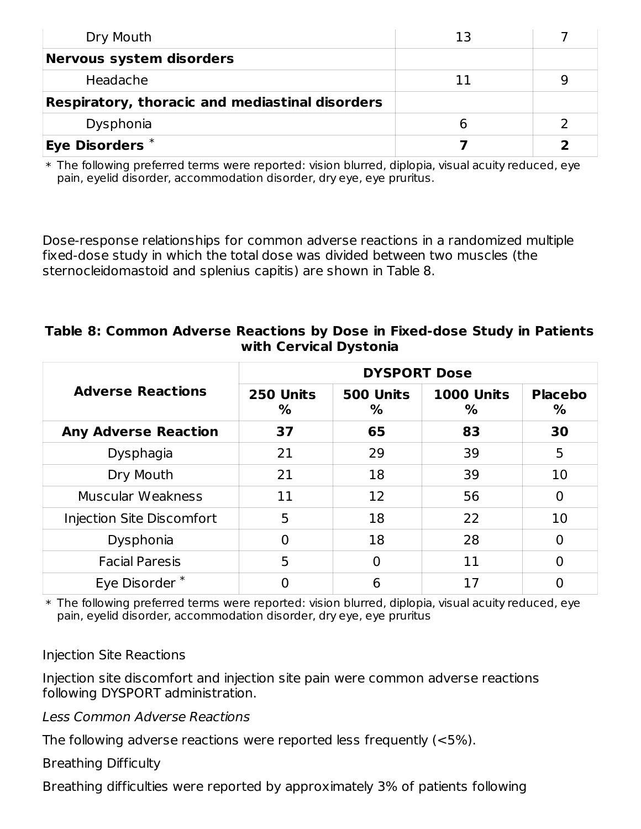| Dry Mouth                                       | 13 |  |
|-------------------------------------------------|----|--|
| <b>Nervous system disorders</b>                 |    |  |
| Headache                                        |    |  |
| Respiratory, thoracic and mediastinal disorders |    |  |
| Dysphonia                                       |    |  |
| $^\textsf{i}$ Eye Disorders $^\text{*}$         |    |  |

 $\ast$  The following preferred terms were reported: vision blurred, diplopia, visual acuity reduced, eye pain, eyelid disorder, accommodation disorder, dry eye, eye pruritus.

Dose-response relationships for common adverse reactions in a randomized multiple fixed-dose study in which the total dose was divided between two muscles (the sternocleidomastoid and splenius capitis) are shown in Table 8.

#### **Table 8: Common Adverse Reactions by Dose in Fixed-dose Study in Patients with Cervical Dystonia**

|                             | <b>DYSPORT Dose</b> |                |                        |                     |
|-----------------------------|---------------------|----------------|------------------------|---------------------|
| <b>Adverse Reactions</b>    | 250 Units<br>%      | 500 Units<br>% | <b>1000 Units</b><br>% | <b>Placebo</b><br>% |
| <b>Any Adverse Reaction</b> | 37                  | 65             | 83                     | 30                  |
| Dysphagia                   | 21                  | 29             | 39                     | 5                   |
| Dry Mouth                   | 21                  | 18             | 39                     | 10                  |
| Muscular Weakness           | 11                  | 12             | 56                     | 0                   |
| Injection Site Discomfort   | 5                   | 18             | 22                     | 10                  |
| Dysphonia                   | 0                   | 18             | 28                     | 0                   |
| <b>Facial Paresis</b>       | 5                   | 0              | 11                     | 0                   |
| Eye Disorder*               |                     | 6              | 17                     |                     |

 $\ast$  The following preferred terms were reported: vision blurred, diplopia, visual acuity reduced, eye pain, eyelid disorder, accommodation disorder, dry eye, eye pruritus

### Injection Site Reactions

Injection site discomfort and injection site pain were common adverse reactions following DYSPORT administration.

Less Common Adverse Reactions

The following adverse reactions were reported less frequently (<5%).

Breathing Difficulty

Breathing difficulties were reported by approximately 3% of patients following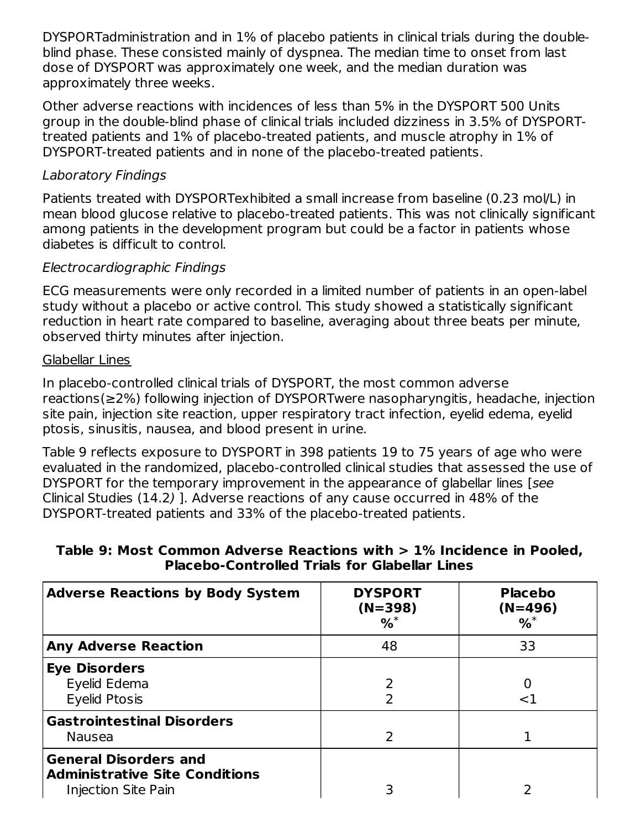DYSPORTadministration and in 1% of placebo patients in clinical trials during the doubleblind phase. These consisted mainly of dyspnea. The median time to onset from last dose of DYSPORT was approximately one week, and the median duration was approximately three weeks.

Other adverse reactions with incidences of less than 5% in the DYSPORT 500 Units group in the double-blind phase of clinical trials included dizziness in 3.5% of DYSPORTtreated patients and 1% of placebo-treated patients, and muscle atrophy in 1% of DYSPORT-treated patients and in none of the placebo-treated patients.

## Laboratory Findings

Patients treated with DYSPORTexhibited a small increase from baseline (0.23 mol/L) in mean blood glucose relative to placebo-treated patients. This was not clinically significant among patients in the development program but could be a factor in patients whose diabetes is difficult to control.

### Electrocardiographic Findings

ECG measurements were only recorded in a limited number of patients in an open-label study without a placebo or active control. This study showed a statistically significant reduction in heart rate compared to baseline, averaging about three beats per minute, observed thirty minutes after injection.

#### Glabellar Lines

In placebo-controlled clinical trials of DYSPORT, the most common adverse reactions(≥2%) following injection of DYSPORTwere nasopharyngitis, headache, injection site pain, injection site reaction, upper respiratory tract infection, eyelid edema, eyelid ptosis, sinusitis, nausea, and blood present in urine.

Table 9 reflects exposure to DYSPORT in 398 patients 19 to 75 years of age who were evaluated in the randomized, placebo-controlled clinical studies that assessed the use of DYSPORT for the temporary improvement in the appearance of glabellar lines [see Clinical Studies (14.2) ]. Adverse reactions of any cause occurred in 48% of the DYSPORT-treated patients and 33% of the placebo-treated patients.

### **Table 9: Most Common Adverse Reactions with > 1% Incidence in Pooled, Placebo-Controlled Trials for Glabellar Lines**

| <b>Adverse Reactions by Body System</b>                                                      | <b>DYSPORT</b><br>$(N=398)$<br>$%^*$ | <b>Placebo</b><br>$(N=496)$<br>% |
|----------------------------------------------------------------------------------------------|--------------------------------------|----------------------------------|
| <b>Any Adverse Reaction</b>                                                                  | 48                                   | 33                               |
| <b>Eye Disorders</b><br>Eyelid Edema<br>Eyelid Ptosis                                        |                                      | <1                               |
| <b>Gastrointestinal Disorders</b><br><b>Nausea</b>                                           |                                      |                                  |
| <b>General Disorders and</b><br><b>Administrative Site Conditions</b><br>Injection Site Pain |                                      |                                  |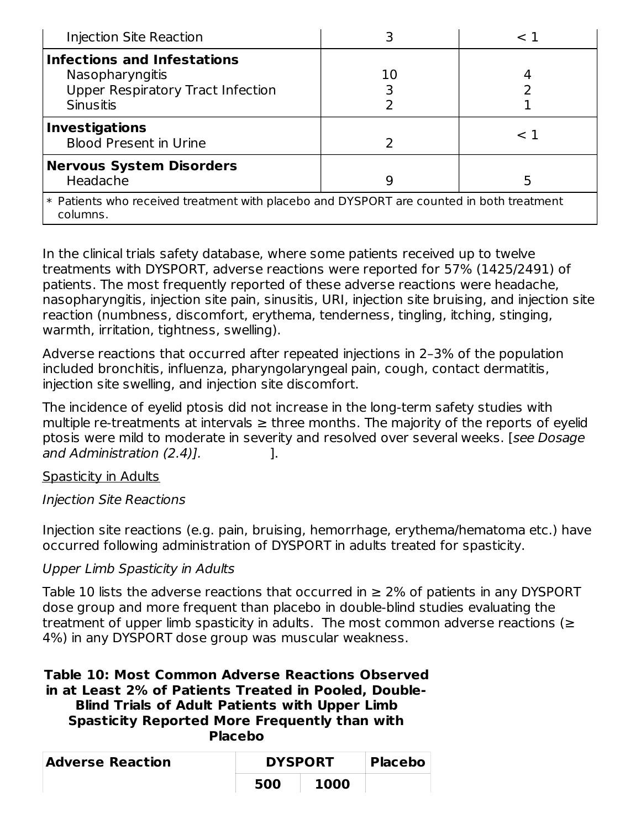| Injection Site Reaction                                                                                               |    | $\rm < 1$ |  |  |
|-----------------------------------------------------------------------------------------------------------------------|----|-----------|--|--|
| <b>Infections and Infestations</b><br>Nasopharyngitis<br><b>Upper Respiratory Tract Infection</b><br><b>Sinusitis</b> | 10 |           |  |  |
| <b>Investigations</b><br><b>Blood Present in Urine</b>                                                                |    | $\leq$ 1  |  |  |
| <b>Nervous System Disorders</b><br>Headache                                                                           | 9  |           |  |  |
| * Patients who received treatment with placebo and DYSPORT are counted in both treatment<br>columns.                  |    |           |  |  |

In the clinical trials safety database, where some patients received up to twelve treatments with DYSPORT, adverse reactions were reported for 57% (1425/2491) of patients. The most frequently reported of these adverse reactions were headache, nasopharyngitis, injection site pain, sinusitis, URI, injection site bruising, and injection site reaction (numbness, discomfort, erythema, tenderness, tingling, itching, stinging, warmth, irritation, tightness, swelling).

Adverse reactions that occurred after repeated injections in 2–3% of the population included bronchitis, influenza, pharyngolaryngeal pain, cough, contact dermatitis, injection site swelling, and injection site discomfort.

The incidence of eyelid ptosis did not increase in the long-term safety studies with multiple re-treatments at intervals  $\geq$  three months. The majority of the reports of eyelid ptosis were mild to moderate in severity and resolved over several weeks. [see Dosage and Administration (2.4)].

### Spasticity in Adults

Injection Site Reactions

Injection site reactions (e.g. pain, bruising, hemorrhage, erythema/hematoma etc.) have occurred following administration of DYSPORT in adults treated for spasticity.

# Upper Limb Spasticity in Adults

Table 10 lists the adverse reactions that occurred in  $\geq 2\%$  of patients in any DYSPORT dose group and more frequent than placebo in double-blind studies evaluating the treatment of upper limb spasticity in adults. The most common adverse reactions ( $\geq$ 4%) in any DYSPORT dose group was muscular weakness.

**Table 10: Most Common Adverse Reactions Observed in at Least 2% of Patients Treated in Pooled, Double-Blind Trials of Adult Patients with Upper Limb Spasticity Reported More Frequently than with Placebo**

| <b>Adverse Reaction</b> | <b>DYSPORT</b> | <b>Placebo</b> |  |
|-------------------------|----------------|----------------|--|
|                         | 500            | 1000           |  |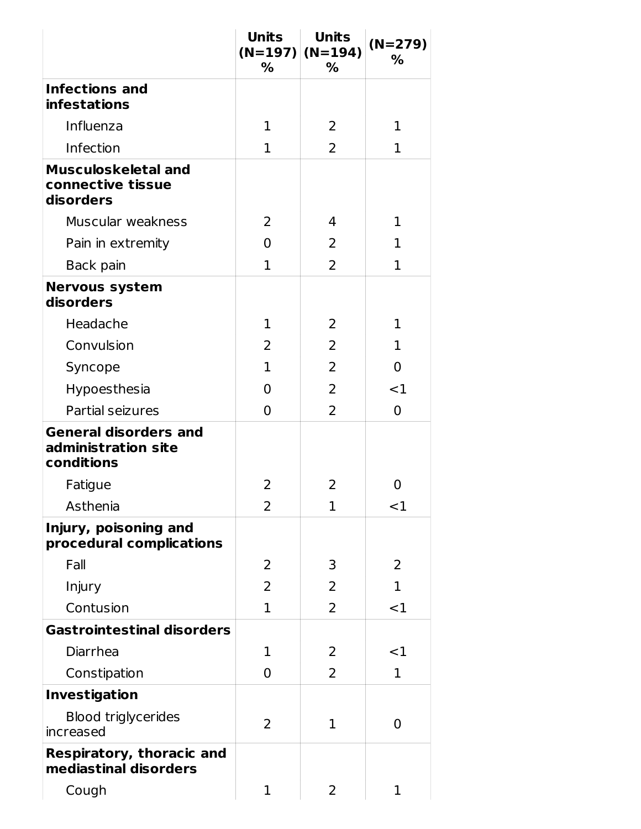|                                                                   | <b>Units</b><br>% | <b>Units</b><br>$(N=197)$ (N=194)<br>% | $(N=279)$<br>$\%$ |
|-------------------------------------------------------------------|-------------------|----------------------------------------|-------------------|
| <b>Infections and</b>                                             |                   |                                        |                   |
| <b>infestations</b>                                               |                   |                                        |                   |
| Influenza                                                         | $\mathbf{1}$      | 2                                      | $\mathbf 1$       |
| Infection                                                         | $\mathbf{1}$      | $\overline{2}$                         | 1                 |
| <b>Musculoskeletal and</b><br>connective tissue<br>disorders      |                   |                                        |                   |
| Muscular weakness                                                 | 2                 | 4                                      | 1                 |
| Pain in extremity                                                 | 0                 | 2                                      | 1                 |
| Back pain                                                         | $\mathbf{1}$      | $\overline{2}$                         | 1                 |
| <b>Nervous system</b><br>disorders                                |                   |                                        |                   |
| Headache                                                          | $\mathbf{1}$      | 2                                      | 1                 |
| Convulsion                                                        | 2                 | 2                                      | 1                 |
| Syncope                                                           | $\mathbf{1}$      | $\overline{2}$                         | 0                 |
| Hypoesthesia                                                      | 0                 | $\overline{2}$                         | $<$ 1             |
| Partial seizures                                                  | $\overline{0}$    | $\overline{2}$                         | $\overline{0}$    |
| <b>General disorders and</b><br>administration site<br>conditions |                   |                                        |                   |
| Fatigue                                                           | 2                 | 2                                      | 0                 |
| Asthenia                                                          | $\overline{2}$    | 1                                      | $<$ 1             |
| Injury, poisoning and<br>procedural complications                 |                   |                                        |                   |
| Fall                                                              | 2                 | 3                                      | 2                 |
| Injury                                                            | 2                 | 2                                      | 1                 |
| Contusion                                                         | $\mathbf{1}$      | 2                                      | <1                |
| <b>Gastrointestinal disorders</b>                                 |                   |                                        |                   |
| Diarrhea                                                          | 1                 | 2                                      | ${<}1$            |
| Constipation                                                      | 0                 | 2                                      | 1                 |
| <b>Investigation</b>                                              |                   |                                        |                   |
| <b>Blood triglycerides</b><br>increased                           | 2                 | 1                                      | 0                 |
| <b>Respiratory, thoracic and</b><br>mediastinal disorders         |                   |                                        |                   |
| Cough                                                             | $\mathbf 1$       | 2                                      | 1                 |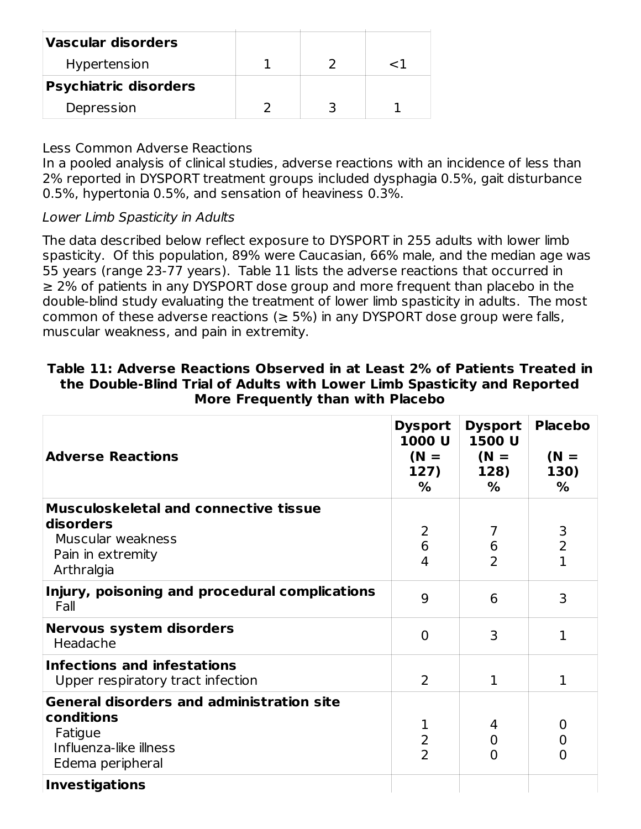| <b>Vascular disorders</b>    |  |     |
|------------------------------|--|-----|
| Hypertension                 |  | 7 / |
| <b>Psychiatric disorders</b> |  |     |
| Depression                   |  |     |

#### Less Common Adverse Reactions

In a pooled analysis of clinical studies, adverse reactions with an incidence of less than 2% reported in DYSPORT treatment groups included dysphagia 0.5%, gait disturbance 0.5%, hypertonia 0.5%, and sensation of heaviness 0.3%.

Lower Limb Spasticity in Adults

The data described below reflect exposure to DYSPORT in 255 adults with lower limb spasticity. Of this population, 89% were Caucasian, 66% male, and the median age was 55 years (range 23-77 years). Table 11 lists the adverse reactions that occurred in ≥ 2% of patients in any DYSPORT dose group and more frequent than placebo in the double-blind study evaluating the treatment of lower limb spasticity in adults. The most common of these adverse reactions ( $\geq$  5%) in any DYSPORT dose group were falls, muscular weakness, and pain in extremity.

| <b>Adverse Reactions</b>                                                                                                | <b>Dysport</b><br>1000 U<br>$(N =$<br>127)<br>% | <b>Dysport</b><br>1500 U<br>$(N =$<br>128)<br>$\%$ | <b>Placebo</b><br>$(N =$<br>130)<br>% |
|-------------------------------------------------------------------------------------------------------------------------|-------------------------------------------------|----------------------------------------------------|---------------------------------------|
| <b>Musculoskeletal and connective tissue</b><br>disorders<br>Muscular weakness<br>Pain in extremity<br>Arthralgia       | 2<br>6<br>4                                     | 7<br>6<br>$\overline{2}$                           | 3<br>$\overline{2}$<br>$\mathbf{1}$   |
| Injury, poisoning and procedural complications<br>Fall                                                                  | 9                                               | 6                                                  | 3                                     |
| <b>Nervous system disorders</b><br>Headache                                                                             | $\Omega$                                        | 3                                                  | 1                                     |
| <b>Infections and infestations</b><br>Upper respiratory tract infection                                                 | $\overline{2}$                                  | $\mathbf{1}$                                       | 1                                     |
| <b>General disorders and administration site</b><br>conditions<br>Fatigue<br>Influenza-like illness<br>Edema peripheral | 1<br>2<br>$\overline{2}$                        | 4<br>$\mathbf 0$<br>$\Omega$                       | 0<br>0<br>O                           |
| <b>Investigations</b>                                                                                                   |                                                 |                                                    |                                       |

### **Table 11: Adverse Reactions Observed in at Least 2% of Patients Treated in the Double-Blind Trial of Adults with Lower Limb Spasticity and Reported More Frequently than with Placebo**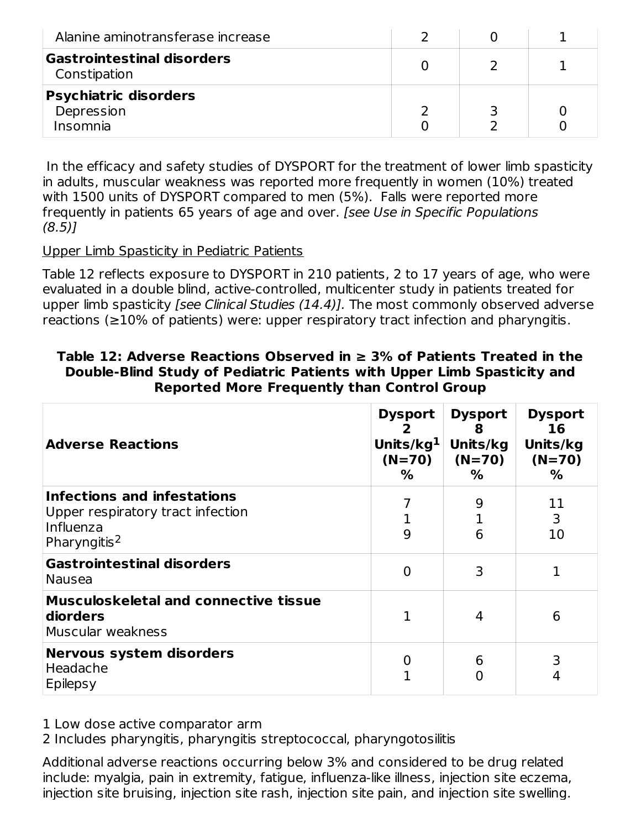| Alanine aminotransferase increase                      |  |  |
|--------------------------------------------------------|--|--|
| Gastrointestinal disorders<br>Constipation             |  |  |
| <b>Psychiatric disorders</b><br>Depression<br>Insomnia |  |  |

In the efficacy and safety studies of DYSPORT for the treatment of lower limb spasticity in adults, muscular weakness was reported more frequently in women (10%) treated with 1500 units of DYSPORT compared to men (5%). Falls were reported more frequently in patients 65 years of age and over. [see Use in Specific Populations (8.5)]

#### Upper Limb Spasticity in Pediatric Patients

Table 12 reflects exposure to DYSPORT in 210 patients, 2 to 17 years of age, who were evaluated in a double blind, active-controlled, multicenter study in patients treated for upper limb spasticity [see Clinical Studies (14.4)]. The most commonly observed adverse reactions (≥10% of patients) were: upper respiratory tract infection and pharyngitis.

| <b>Adverse Reactions</b>                                                                                  | <b>Dysport</b><br>Units/ $kg1$<br>$(N=70)$<br>% | <b>Dysport</b><br>8<br>Units/kg<br>$(N=70)$<br>% | <b>Dysport</b><br>16<br>Units/kg<br>$(N=70)$<br>% |
|-----------------------------------------------------------------------------------------------------------|-------------------------------------------------|--------------------------------------------------|---------------------------------------------------|
| Infections and infestations<br>Upper respiratory tract infection<br>Influenza<br>Pharyngitis <sup>2</sup> | 9                                               | 9<br>6                                           | 11<br>3<br>10                                     |
| <b>Gastrointestinal disorders</b><br><b>Nausea</b>                                                        | 0                                               | 3                                                |                                                   |
| <b>Musculoskeletal and connective tissue</b><br>diorders<br>Muscular weakness                             |                                                 | 4                                                | 6                                                 |
| <b>Nervous system disorders</b><br>Headache<br>Epilepsy                                                   |                                                 | 6                                                | 4                                                 |

### **Table 12: Adverse Reactions Observed in ≥ 3% of Patients Treated in the Double-Blind Study of Pediatric Patients with Upper Limb Spasticity and Reported More Frequently than Control Group**

1 Low dose active comparator arm

2 Includes pharyngitis, pharyngitis streptococcal, pharyngotosilitis

Additional adverse reactions occurring below 3% and considered to be drug related include: myalgia, pain in extremity, fatigue, influenza-like illness, injection site eczema, injection site bruising, injection site rash, injection site pain, and injection site swelling.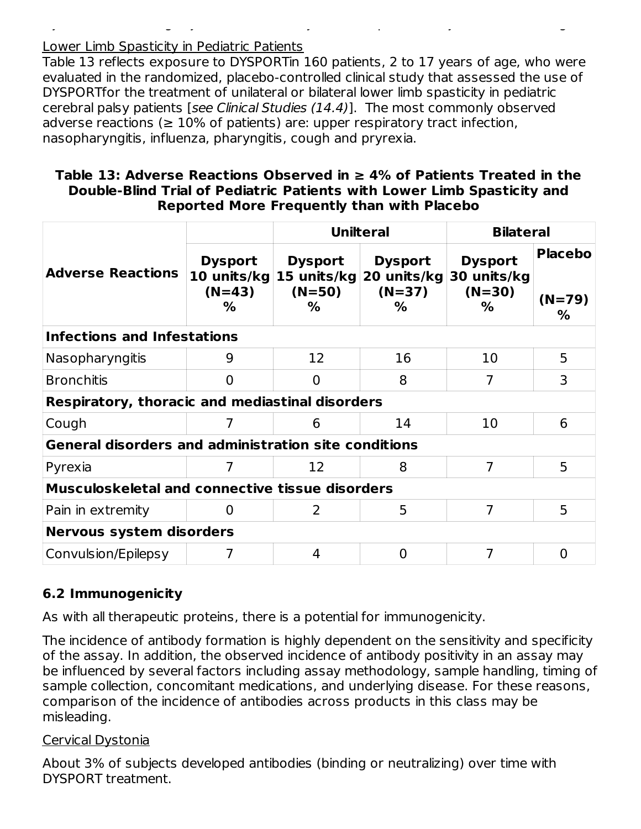### Lower Limb Spasticity in Pediatric Patients

Table 13 reflects exposure to DYSPORTin 160 patients, 2 to 17 years of age, who were evaluated in the randomized, placebo-controlled clinical study that assessed the use of DYSPORTfor the treatment of unilateral or bilateral lower limb spasticity in pediatric cerebral palsy patients [see Clinical Studies (14.4)]. The most commonly observed adverse reactions ( $\geq 10\%$  of patients) are: upper respiratory tract infection, nasopharyngitis, influenza, pharyngitis, cough and pryrexia.

injection site bruising, injection site rash, injection site pain, and injection site swelling.

### **Table 13: Adverse Reactions Observed in ≥ 4% of Patients Treated in the Double-Blind Trial of Pediatric Patients with Lower Limb Spasticity and Reported More Frequently than with Placebo**

|                                                             |                                                | <b>Unilteral</b>                |                                                            | <b>Bilateral</b>                               |                                 |  |
|-------------------------------------------------------------|------------------------------------------------|---------------------------------|------------------------------------------------------------|------------------------------------------------|---------------------------------|--|
| <b>Adverse Reactions</b>                                    | <b>Dysport</b><br>10 units/kg<br>$(N=43)$<br>% | <b>Dysport</b><br>$(N=50)$<br>% | <b>Dysport</b><br>15 units/kg 20 units/kg<br>$(N=37)$<br>% | <b>Dysport</b><br>30 units/kg<br>$(N=30)$<br>% | <b>Placebo</b><br>$(N=79)$<br>% |  |
| <b>Infections and Infestations</b>                          |                                                |                                 |                                                            |                                                |                                 |  |
| Nasopharyngitis                                             | 9                                              | 12                              | 16                                                         | 10                                             | 5                               |  |
| <b>Bronchitis</b>                                           | 0                                              | $\Omega$                        | 8                                                          | 7                                              | 3                               |  |
| Respiratory, thoracic and mediastinal disorders             |                                                |                                 |                                                            |                                                |                                 |  |
| Cough                                                       | 7                                              | 6                               | 14                                                         | 10                                             | 6                               |  |
| <b>General disorders and administration site conditions</b> |                                                |                                 |                                                            |                                                |                                 |  |
| Pyrexia                                                     | 7                                              | 12                              | 8                                                          | 7                                              | 5                               |  |
| <b>Musculoskeletal and connective tissue disorders</b>      |                                                |                                 |                                                            |                                                |                                 |  |
| Pain in extremity                                           | 0                                              | 2                               | 5                                                          | 7                                              | 5                               |  |
| <b>Nervous system disorders</b>                             |                                                |                                 |                                                            |                                                |                                 |  |
| Convulsion/Epilepsy                                         | 7                                              | 4                               | $\Omega$                                                   | 7                                              | $\overline{0}$                  |  |

# **6.2 Immunogenicity**

As with all therapeutic proteins, there is a potential for immunogenicity.

The incidence of antibody formation is highly dependent on the sensitivity and specificity of the assay. In addition, the observed incidence of antibody positivity in an assay may be influenced by several factors including assay methodology, sample handling, timing of sample collection, concomitant medications, and underlying disease. For these reasons, comparison of the incidence of antibodies across products in this class may be misleading.

### Cervical Dystonia

About 3% of subjects developed antibodies (binding or neutralizing) over time with DYSPORT treatment.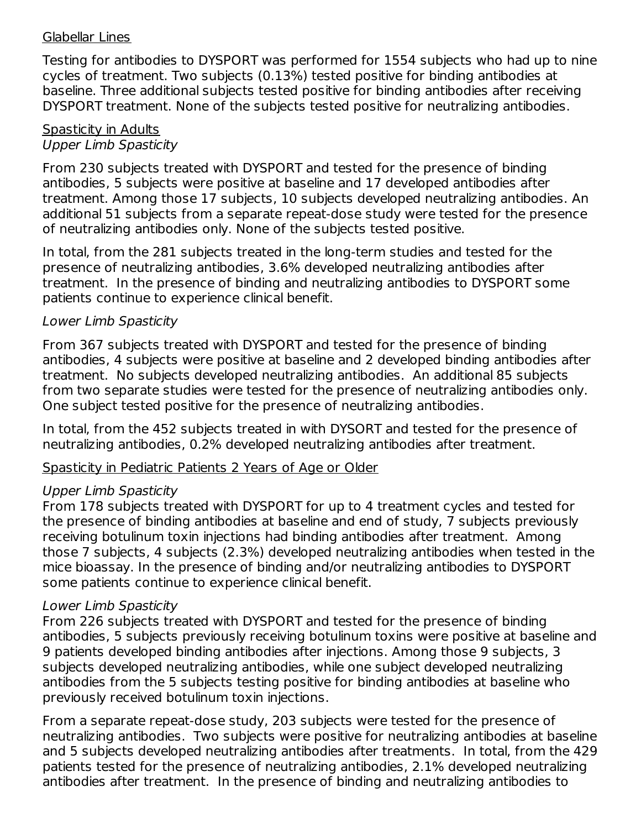#### Glabellar Lines

Testing for antibodies to DYSPORT was performed for 1554 subjects who had up to nine cycles of treatment. Two subjects (0.13%) tested positive for binding antibodies at baseline. Three additional subjects tested positive for binding antibodies after receiving DYSPORT treatment. None of the subjects tested positive for neutralizing antibodies.

#### Spasticity in Adults Upper Limb Spasticity

From 230 subjects treated with DYSPORT and tested for the presence of binding antibodies, 5 subjects were positive at baseline and 17 developed antibodies after treatment. Among those 17 subjects, 10 subjects developed neutralizing antibodies. An additional 51 subjects from a separate repeat-dose study were tested for the presence of neutralizing antibodies only. None of the subjects tested positive.

In total, from the 281 subjects treated in the long-term studies and tested for the presence of neutralizing antibodies, 3.6% developed neutralizing antibodies after treatment. In the presence of binding and neutralizing antibodies to DYSPORT some patients continue to experience clinical benefit.

### Lower Limb Spasticity

From 367 subjects treated with DYSPORT and tested for the presence of binding antibodies, 4 subjects were positive at baseline and 2 developed binding antibodies after treatment. No subjects developed neutralizing antibodies. An additional 85 subjects from two separate studies were tested for the presence of neutralizing antibodies only. One subject tested positive for the presence of neutralizing antibodies.

In total, from the 452 subjects treated in with DYSORT and tested for the presence of neutralizing antibodies, 0.2% developed neutralizing antibodies after treatment.

### Spasticity in Pediatric Patients 2 Years of Age or Older

### Upper Limb Spasticity

From 178 subjects treated with DYSPORT for up to 4 treatment cycles and tested for the presence of binding antibodies at baseline and end of study, 7 subjects previously receiving botulinum toxin injections had binding antibodies after treatment. Among those 7 subjects, 4 subjects (2.3%) developed neutralizing antibodies when tested in the mice bioassay. In the presence of binding and/or neutralizing antibodies to DYSPORT some patients continue to experience clinical benefit.

### Lower Limb Spasticity

From 226 subjects treated with DYSPORT and tested for the presence of binding antibodies, 5 subjects previously receiving botulinum toxins were positive at baseline and 9 patients developed binding antibodies after injections. Among those 9 subjects, 3 subjects developed neutralizing antibodies, while one subject developed neutralizing antibodies from the 5 subjects testing positive for binding antibodies at baseline who previously received botulinum toxin injections.

From a separate repeat-dose study, 203 subjects were tested for the presence of neutralizing antibodies. Two subjects were positive for neutralizing antibodies at baseline and 5 subjects developed neutralizing antibodies after treatments. In total, from the 429 patients tested for the presence of neutralizing antibodies, 2.1% developed neutralizing antibodies after treatment. In the presence of binding and neutralizing antibodies to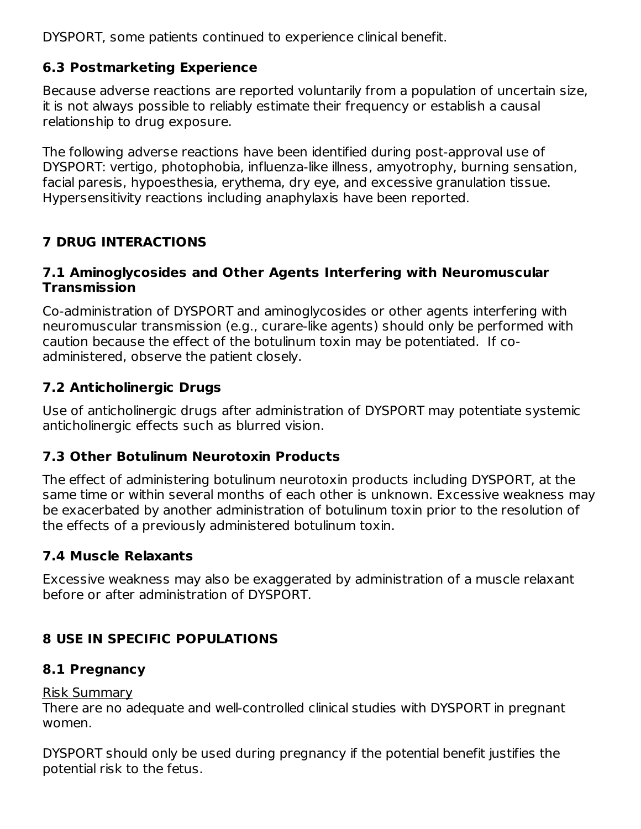DYSPORT, some patients continued to experience clinical benefit.

# **6.3 Postmarketing Experience**

Because adverse reactions are reported voluntarily from a population of uncertain size, it is not always possible to reliably estimate their frequency or establish a causal relationship to drug exposure.

The following adverse reactions have been identified during post-approval use of DYSPORT: vertigo, photophobia, influenza-like illness, amyotrophy, burning sensation, facial paresis, hypoesthesia, erythema, dry eye, and excessive granulation tissue. Hypersensitivity reactions including anaphylaxis have been reported.

# **7 DRUG INTERACTIONS**

## **7.1 Aminoglycosides and Other Agents Interfering with Neuromuscular Transmission**

Co-administration of DYSPORT and aminoglycosides or other agents interfering with neuromuscular transmission (e.g., curare-like agents) should only be performed with caution because the effect of the botulinum toxin may be potentiated. If coadministered, observe the patient closely.

# **7.2 Anticholinergic Drugs**

Use of anticholinergic drugs after administration of DYSPORT may potentiate systemic anticholinergic effects such as blurred vision.

# **7.3 Other Botulinum Neurotoxin Products**

The effect of administering botulinum neurotoxin products including DYSPORT, at the same time or within several months of each other is unknown. Excessive weakness may be exacerbated by another administration of botulinum toxin prior to the resolution of the effects of a previously administered botulinum toxin.

# **7.4 Muscle Relaxants**

Excessive weakness may also be exaggerated by administration of a muscle relaxant before or after administration of DYSPORT.

# **8 USE IN SPECIFIC POPULATIONS**

# **8.1 Pregnancy**

# Risk Summary

There are no adequate and well-controlled clinical studies with DYSPORT in pregnant women.

DYSPORT should only be used during pregnancy if the potential benefit justifies the potential risk to the fetus.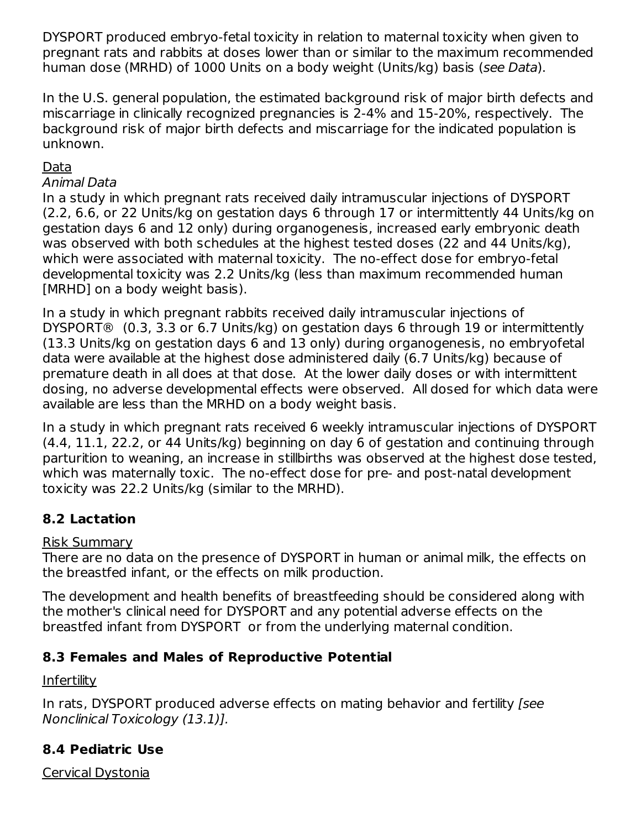DYSPORT produced embryo-fetal toxicity in relation to maternal toxicity when given to pregnant rats and rabbits at doses lower than or similar to the maximum recommended human dose (MRHD) of 1000 Units on a body weight (Units/kg) basis (see Data).

In the U.S. general population, the estimated background risk of major birth defects and miscarriage in clinically recognized pregnancies is 2-4% and 15-20%, respectively. The background risk of major birth defects and miscarriage for the indicated population is unknown.

## Data

#### Animal Data

In a study in which pregnant rats received daily intramuscular injections of DYSPORT (2.2, 6.6, or 22 Units/kg on gestation days 6 through 17 or intermittently 44 Units/kg on gestation days 6 and 12 only) during organogenesis, increased early embryonic death was observed with both schedules at the highest tested doses (22 and 44 Units/kg), which were associated with maternal toxicity. The no-effect dose for embryo-fetal developmental toxicity was 2.2 Units/kg (less than maximum recommended human [MRHD] on a body weight basis).

In a study in which pregnant rabbits received daily intramuscular injections of DYSPORT® (0.3, 3.3 or 6.7 Units/kg) on gestation days 6 through 19 or intermittently (13.3 Units/kg on gestation days 6 and 13 only) during organogenesis, no embryofetal data were available at the highest dose administered daily (6.7 Units/kg) because of premature death in all does at that dose. At the lower daily doses or with intermittent dosing, no adverse developmental effects were observed. All dosed for which data were available are less than the MRHD on a body weight basis.

In a study in which pregnant rats received 6 weekly intramuscular injections of DYSPORT (4.4, 11.1, 22.2, or 44 Units/kg) beginning on day 6 of gestation and continuing through parturition to weaning, an increase in stillbirths was observed at the highest dose tested, which was maternally toxic. The no-effect dose for pre- and post-natal development toxicity was 22.2 Units/kg (similar to the MRHD).

# **8.2 Lactation**

# Risk Summary

There are no data on the presence of DYSPORT in human or animal milk, the effects on the breastfed infant, or the effects on milk production.

The development and health benefits of breastfeeding should be considered along with the mother's clinical need for DYSPORT and any potential adverse effects on the breastfed infant from DYSPORT or from the underlying maternal condition.

# **8.3 Females and Males of Reproductive Potential**

# **Infertility**

In rats, DYSPORT produced adverse effects on mating behavior and fertility [see Nonclinical Toxicology (13.1)].

# **8.4 Pediatric Use**

Cervical Dystonia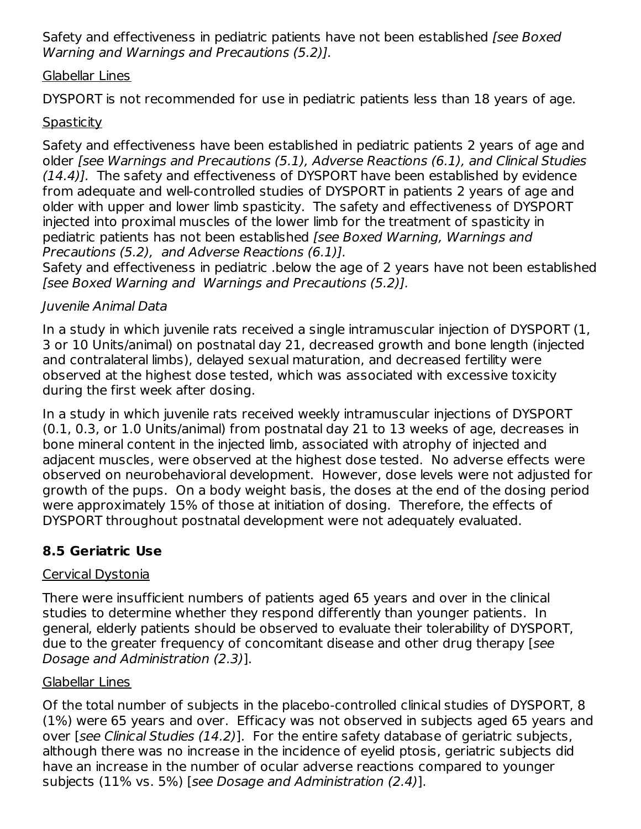Safety and effectiveness in pediatric patients have not been established [see Boxed] Warning and Warnings and Precautions (5.2)].

#### Glabellar Lines

DYSPORT is not recommended for use in pediatric patients less than 18 years of age.

# **Spasticity**

Safety and effectiveness have been established in pediatric patients 2 years of age and older [see Warnings and Precautions (5.1), Adverse Reactions (6.1), and Clinical Studies (14.4)]. The safety and effectiveness of DYSPORT have been established by evidence from adequate and well-controlled studies of DYSPORT in patients 2 years of age and older with upper and lower limb spasticity. The safety and effectiveness of DYSPORT injected into proximal muscles of the lower limb for the treatment of spasticity in pediatric patients has not been established *[see Boxed Warning, Warnings and* Precautions (5.2), and Adverse Reactions (6.1)].

Safety and effectiveness in pediatric .below the age of 2 years have not been established [see Boxed Warning and Warnings and Precautions (5.2)].

## Juvenile Animal Data

In a study in which juvenile rats received a single intramuscular injection of DYSPORT (1, 3 or 10 Units/animal) on postnatal day 21, decreased growth and bone length (injected and contralateral limbs), delayed sexual maturation, and decreased fertility were observed at the highest dose tested, which was associated with excessive toxicity during the first week after dosing.

In a study in which juvenile rats received weekly intramuscular injections of DYSPORT (0.1, 0.3, or 1.0 Units/animal) from postnatal day 21 to 13 weeks of age, decreases in bone mineral content in the injected limb, associated with atrophy of injected and adjacent muscles, were observed at the highest dose tested. No adverse effects were observed on neurobehavioral development. However, dose levels were not adjusted for growth of the pups. On a body weight basis, the doses at the end of the dosing period were approximately 15% of those at initiation of dosing. Therefore, the effects of DYSPORT throughout postnatal development were not adequately evaluated.

# **8.5 Geriatric Use**

# Cervical Dystonia

There were insufficient numbers of patients aged 65 years and over in the clinical studies to determine whether they respond differently than younger patients. In general, elderly patients should be observed to evaluate their tolerability of DYSPORT, due to the greater frequency of concomitant disease and other drug therapy [see Dosage and Administration (2.3)].

### Glabellar Lines

Of the total number of subjects in the placebo-controlled clinical studies of DYSPORT, 8 (1%) were 65 years and over. Efficacy was not observed in subjects aged 65 years and over [see Clinical Studies (14.2)]. For the entire safety database of geriatric subjects, although there was no increase in the incidence of eyelid ptosis, geriatric subjects did have an increase in the number of ocular adverse reactions compared to younger subjects (11% vs. 5%) [see Dosage and Administration (2.4)].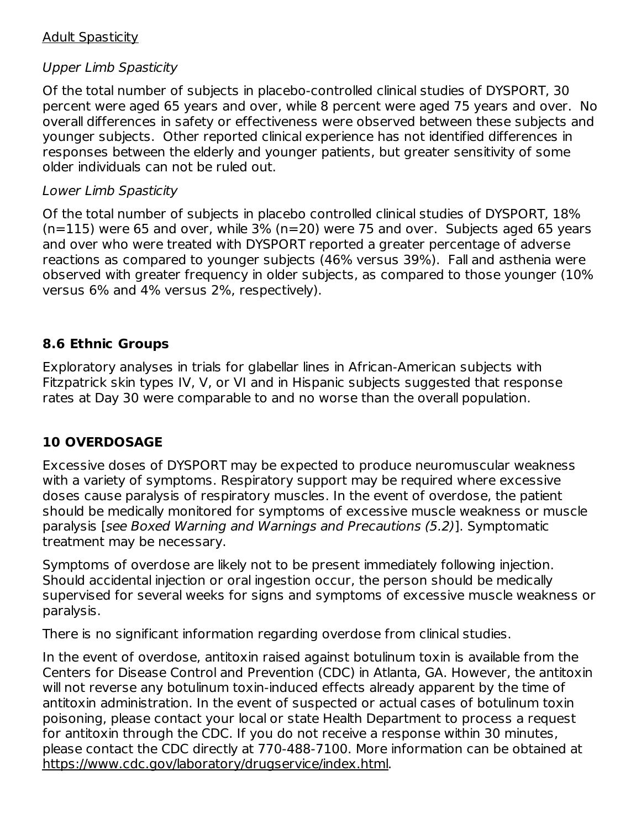## Adult Spasticity

## Upper Limb Spasticity

Of the total number of subjects in placebo-controlled clinical studies of DYSPORT, 30 percent were aged 65 years and over, while 8 percent were aged 75 years and over. No overall differences in safety or effectiveness were observed between these subjects and younger subjects. Other reported clinical experience has not identified differences in responses between the elderly and younger patients, but greater sensitivity of some older individuals can not be ruled out.

## Lower Limb Spasticity

Of the total number of subjects in placebo controlled clinical studies of DYSPORT, 18%  $(n=115)$  were 65 and over, while 3% (n=20) were 75 and over. Subjects aged 65 years and over who were treated with DYSPORT reported a greater percentage of adverse reactions as compared to younger subjects (46% versus 39%). Fall and asthenia were observed with greater frequency in older subjects, as compared to those younger (10% versus 6% and 4% versus 2%, respectively).

# **8.6 Ethnic Groups**

Exploratory analyses in trials for glabellar lines in African-American subjects with Fitzpatrick skin types IV, V, or VI and in Hispanic subjects suggested that response rates at Day 30 were comparable to and no worse than the overall population.

# **10 OVERDOSAGE**

Excessive doses of DYSPORT may be expected to produce neuromuscular weakness with a variety of symptoms. Respiratory support may be required where excessive doses cause paralysis of respiratory muscles. In the event of overdose, the patient should be medically monitored for symptoms of excessive muscle weakness or muscle paralysis [see Boxed Warning and Warnings and Precautions (5.2)]. Symptomatic treatment may be necessary.

Symptoms of overdose are likely not to be present immediately following injection. Should accidental injection or oral ingestion occur, the person should be medically supervised for several weeks for signs and symptoms of excessive muscle weakness or paralysis.

There is no significant information regarding overdose from clinical studies.

In the event of overdose, antitoxin raised against botulinum toxin is available from the Centers for Disease Control and Prevention (CDC) in Atlanta, GA. However, the antitoxin will not reverse any botulinum toxin-induced effects already apparent by the time of antitoxin administration. In the event of suspected or actual cases of botulinum toxin poisoning, please contact your local or state Health Department to process a request for antitoxin through the CDC. If you do not receive a response within 30 minutes, please contact the CDC directly at 770-488-7100. More information can be obtained at https://www.cdc.gov/laboratory/drugservice/index.html.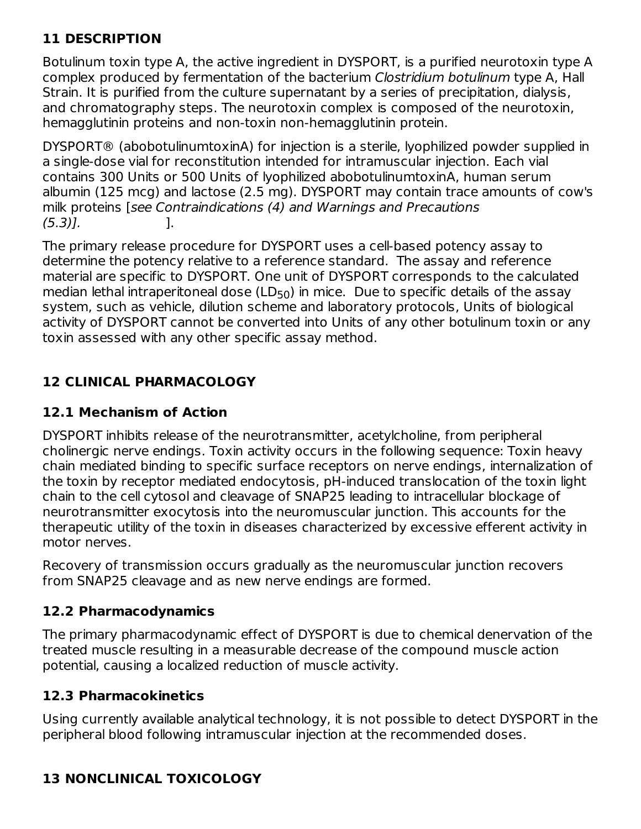# **11 DESCRIPTION**

Botulinum toxin type A, the active ingredient in DYSPORT, is a purified neurotoxin type A complex produced by fermentation of the bacterium Clostridium botulinum type A, Hall Strain. It is purified from the culture supernatant by a series of precipitation, dialysis, and chromatography steps. The neurotoxin complex is composed of the neurotoxin, hemagglutinin proteins and non-toxin non-hemagglutinin protein.

DYSPORT® (abobotulinumtoxinA) for injection is a sterile, lyophilized powder supplied in a single-dose vial for reconstitution intended for intramuscular injection. Each vial contains 300 Units or 500 Units of lyophilized abobotulinumtoxinA, human serum albumin (125 mcg) and lactose (2.5 mg). DYSPORT may contain trace amounts of cow's milk proteins [see Contraindications (4) and Warnings and Precautions  $(5.3)$ ]. [.

The primary release procedure for DYSPORT uses a cell-based potency assay to determine the potency relative to a reference standard. The assay and reference material are specific to DYSPORT. One unit of DYSPORT corresponds to the calculated median lethal intraperitoneal dose (LD $_{50}$ ) in mice. Due to specific details of the assay system, such as vehicle, dilution scheme and laboratory protocols, Units of biological activity of DYSPORT cannot be converted into Units of any other botulinum toxin or any toxin assessed with any other specific assay method.

# **12 CLINICAL PHARMACOLOGY**

# **12.1 Mechanism of Action**

DYSPORT inhibits release of the neurotransmitter, acetylcholine, from peripheral cholinergic nerve endings. Toxin activity occurs in the following sequence: Toxin heavy chain mediated binding to specific surface receptors on nerve endings, internalization of the toxin by receptor mediated endocytosis, pH-induced translocation of the toxin light chain to the cell cytosol and cleavage of SNAP25 leading to intracellular blockage of neurotransmitter exocytosis into the neuromuscular junction. This accounts for the therapeutic utility of the toxin in diseases characterized by excessive efferent activity in motor nerves.

Recovery of transmission occurs gradually as the neuromuscular junction recovers from SNAP25 cleavage and as new nerve endings are formed.

# **12.2 Pharmacodynamics**

The primary pharmacodynamic effect of DYSPORT is due to chemical denervation of the treated muscle resulting in a measurable decrease of the compound muscle action potential, causing a localized reduction of muscle activity.

### **12.3 Pharmacokinetics**

Using currently available analytical technology, it is not possible to detect DYSPORT in the peripheral blood following intramuscular injection at the recommended doses.

# **13 NONCLINICAL TOXICOLOGY**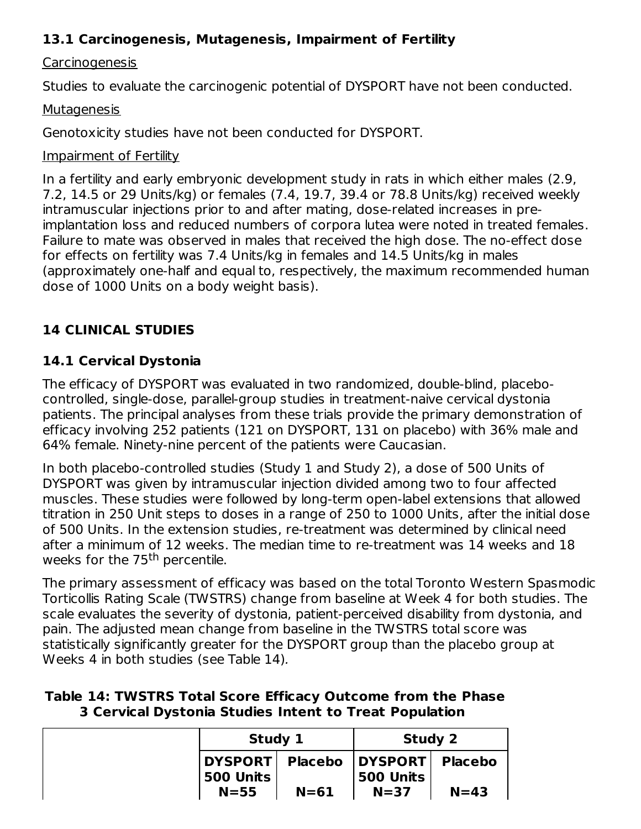# **13.1 Carcinogenesis, Mutagenesis, Impairment of Fertility**

# **Carcinogenesis**

Studies to evaluate the carcinogenic potential of DYSPORT have not been conducted.

#### Mutagenesis

Genotoxicity studies have not been conducted for DYSPORT.

## Impairment of Fertility

In a fertility and early embryonic development study in rats in which either males (2.9, 7.2, 14.5 or 29 Units/kg) or females (7.4, 19.7, 39.4 or 78.8 Units/kg) received weekly intramuscular injections prior to and after mating, dose-related increases in preimplantation loss and reduced numbers of corpora lutea were noted in treated females. Failure to mate was observed in males that received the high dose. The no-effect dose for effects on fertility was 7.4 Units/kg in females and 14.5 Units/kg in males (approximately one-half and equal to, respectively, the maximum recommended human dose of 1000 Units on a body weight basis).

# **14 CLINICAL STUDIES**

# **14.1 Cervical Dystonia**

The efficacy of DYSPORT was evaluated in two randomized, double-blind, placebocontrolled, single-dose, parallel-group studies in treatment-naive cervical dystonia patients. The principal analyses from these trials provide the primary demonstration of efficacy involving 252 patients (121 on DYSPORT, 131 on placebo) with 36% male and 64% female. Ninety-nine percent of the patients were Caucasian.

In both placebo-controlled studies (Study 1 and Study 2), a dose of 500 Units of DYSPORT was given by intramuscular injection divided among two to four affected muscles. These studies were followed by long-term open-label extensions that allowed titration in 250 Unit steps to doses in a range of 250 to 1000 Units, after the initial dose of 500 Units. In the extension studies, re-treatment was determined by clinical need after a minimum of 12 weeks. The median time to re-treatment was 14 weeks and 18 weeks for the 75<sup>th</sup> percentile.

The primary assessment of efficacy was based on the total Toronto Western Spasmodic Torticollis Rating Scale (TWSTRS) change from baseline at Week 4 for both studies. The scale evaluates the severity of dystonia, patient-perceived disability from dystonia, and pain. The adjusted mean change from baseline in the TWSTRS total score was statistically significantly greater for the DYSPORT group than the placebo group at Weeks 4 in both studies (see Table 14).

## **Table 14: TWSTRS Total Score Efficacy Outcome from the Phase 3 Cervical Dystonia Studies Intent to Treat Population**

| Study 1                      |          | Study 2                                  |          |
|------------------------------|----------|------------------------------------------|----------|
| <b>DYSPORTI</b><br>500 Units |          | Placebo   DYSPORT   Placebo<br>500 Units |          |
| $N = 55$                     | $N = 61$ | $N = 37$                                 | $N = 43$ |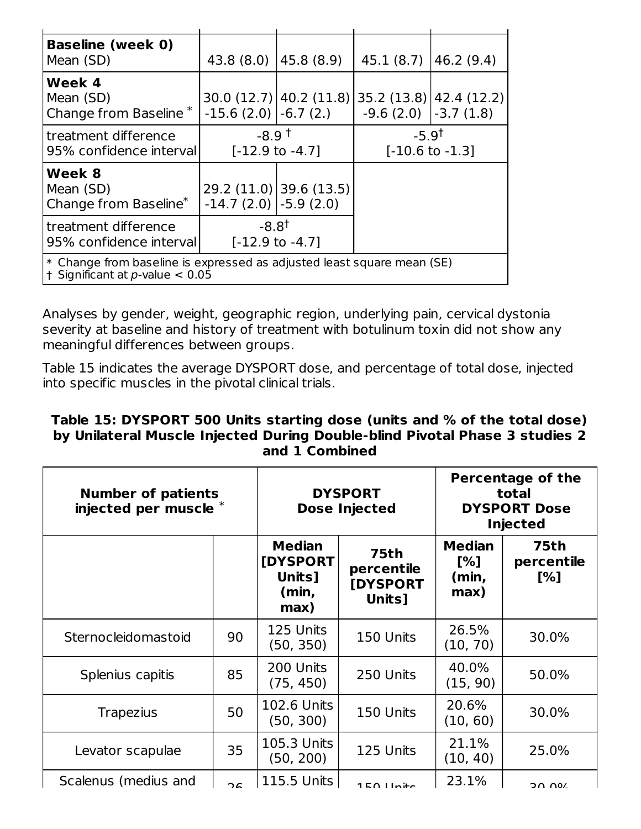| <b>Baseline (week 0)</b><br>Mean (SD)                                                                         | $43.8(8.0)$ $ 45.8(8.9)$                       |                            | $45.1(8.7)$ $ 46.2(9.4)$              |                          |
|---------------------------------------------------------------------------------------------------------------|------------------------------------------------|----------------------------|---------------------------------------|--------------------------|
| Week 4<br>Mean (SD)<br>Change from Baseline <sup>*</sup>                                                      | $-15.6$ (2.0) $-6.7$ (2.)                      | $30.0(12.7)$   40.2 (11.8) | $-9.6(2.0)$ $-3.7(1.8)$               | $35.2(13.8)$ 42.4 (12.2) |
| treatment difference<br>95% confidence interval                                                               | $-8.9†$<br>$[-12.9 \text{ to } -4.7]$          |                            | $-5.9†$<br>$[-10.6 \text{ to } -1.3]$ |                          |
| Week 8<br>Mean (SD)<br>Change from Baseline <sup>*</sup>                                                      | $-14.7(2.0)$ $-5.9(2.0)$                       | 29.2 (11.0) 39.6 (13.5)    |                                       |                          |
| treatment difference<br>95% confidence interval                                                               | $-8.8^{\dagger}$<br>$[-12.9 \text{ to } -4.7]$ |                            |                                       |                          |
| * Change from baseline is expressed as adjusted least square mean (SE)<br>$+$ Significant at p-value $< 0.05$ |                                                |                            |                                       |                          |

Analyses by gender, weight, geographic region, underlying pain, cervical dystonia severity at baseline and history of treatment with botulinum toxin did not show any meaningful differences between groups.

Table 15 indicates the average DYSPORT dose, and percentage of total dose, injected into specific muscles in the pivotal clinical trials.

#### **Table 15: DYSPORT 500 Units starting dose (units and % of the total dose) by Unilateral Muscle Injected During Double-blind Pivotal Phase 3 studies 2 and 1 Combined**

| <b>Number of patients</b><br>injected per muscle * |    | <b>DYSPORT</b><br><b>Dose Injected</b>                |                                                        |                                       | <b>Percentage of the</b><br>total<br><b>DYSPORT Dose</b><br><b>Injected</b> |
|----------------------------------------------------|----|-------------------------------------------------------|--------------------------------------------------------|---------------------------------------|-----------------------------------------------------------------------------|
|                                                    |    | <b>Median</b><br>[DYSPORT]<br>Units]<br>(min,<br>max) | <b>75th</b><br>percentile<br><b>[DYSPORT</b><br>Units] | <b>Median</b><br>[%]<br>(min,<br>max) | 75th<br>percentile<br>[%]                                                   |
| Sternocleidomastoid                                | 90 | 125 Units<br>(50, 350)                                | 150 Units                                              | 26.5%<br>(10, 70)                     | 30.0%                                                                       |
| Splenius capitis                                   | 85 | 200 Units<br>(75, 450)                                | 250 Units                                              | 40.0%<br>(15, 90)                     | 50.0%                                                                       |
| <b>Trapezius</b>                                   | 50 | <b>102.6 Units</b><br>(50, 300)                       | 150 Units                                              | 20.6%<br>(10, 60)                     | 30.0%                                                                       |
| Levator scapulae                                   | 35 | 105.3 Units<br>(50, 200)                              | 125 Units                                              | 21.1%<br>(10, 40)                     | 25.0%                                                                       |
| Scalenus (medius and                               | 2c | 115.5 Units                                           | 1E(1)                                                  | 23.1%                                 | 2000                                                                        |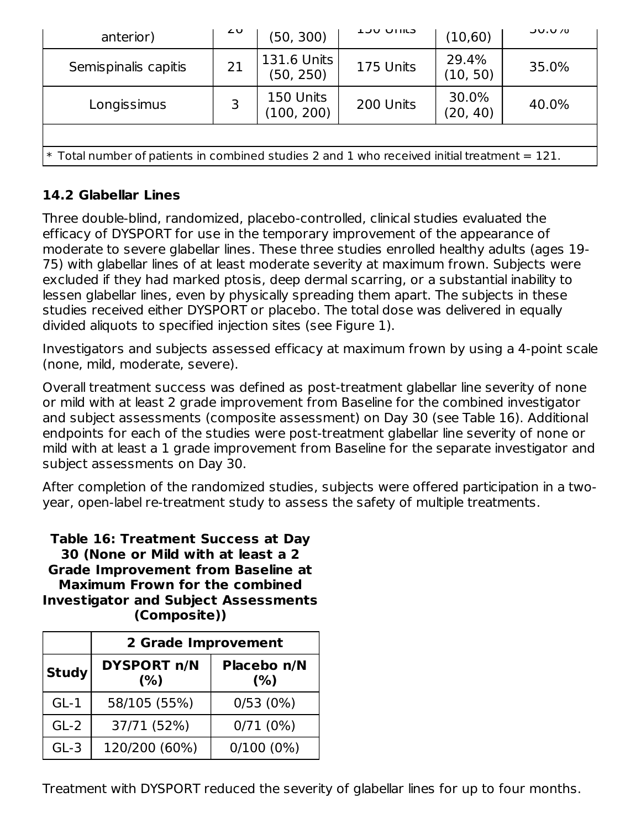| anterior)                                                                                      | ∠∪ | (50, 300)                | <b>LUU UIIILS</b> | (10, 60)          | <b>JU.U/0</b> |
|------------------------------------------------------------------------------------------------|----|--------------------------|-------------------|-------------------|---------------|
| Semispinalis capitis                                                                           | 21 | 131.6 Units<br>(50, 250) | 175 Units         | 29.4%<br>(10, 50) | 35.0%         |
| Longissimus                                                                                    | 3  | 150 Units<br>(100, 200)  | 200 Units         | 30.0%<br>(20, 40) | 40.0%         |
|                                                                                                |    |                          |                   |                   |               |
| $*$ Total number of patients in combined studies 2 and 1 who received initial treatment = 121. |    |                          |                   |                   |               |

# **14.2 Glabellar Lines**

Three double-blind, randomized, placebo-controlled, clinical studies evaluated the efficacy of DYSPORT for use in the temporary improvement of the appearance of moderate to severe glabellar lines. These three studies enrolled healthy adults (ages 19- 75) with glabellar lines of at least moderate severity at maximum frown. Subjects were excluded if they had marked ptosis, deep dermal scarring, or a substantial inability to lessen glabellar lines, even by physically spreading them apart. The subjects in these studies received either DYSPORT or placebo. The total dose was delivered in equally divided aliquots to specified injection sites (see Figure 1).

Investigators and subjects assessed efficacy at maximum frown by using a 4-point scale (none, mild, moderate, severe).

Overall treatment success was defined as post-treatment glabellar line severity of none or mild with at least 2 grade improvement from Baseline for the combined investigator and subject assessments (composite assessment) on Day 30 (see Table 16). Additional endpoints for each of the studies were post-treatment glabellar line severity of none or mild with at least a 1 grade improvement from Baseline for the separate investigator and subject assessments on Day 30.

After completion of the randomized studies, subjects were offered participation in a twoyear, open-label re-treatment study to assess the safety of multiple treatments.

**Table 16: Treatment Success at Day 30 (None or Mild with at least a 2 Grade Improvement from Baseline at Maximum Frown for the combined Investigator and Subject Assessments (Composite))**

|              | 2 Grade Improvement        |                    |  |  |
|--------------|----------------------------|--------------------|--|--|
| <b>Study</b> | <b>DYSPORT n/N</b><br>(% ) | Placebo n/N<br>(%) |  |  |
| $GL-1$       | 58/105 (55%)               | 0/53(0%)           |  |  |
| $GL-2$       | 37/71 (52%)                | 0/71(0%)           |  |  |
| $GL-3$       | 120/200 (60%)              | $0/100(0\%)$       |  |  |

Treatment with DYSPORT reduced the severity of glabellar lines for up to four months.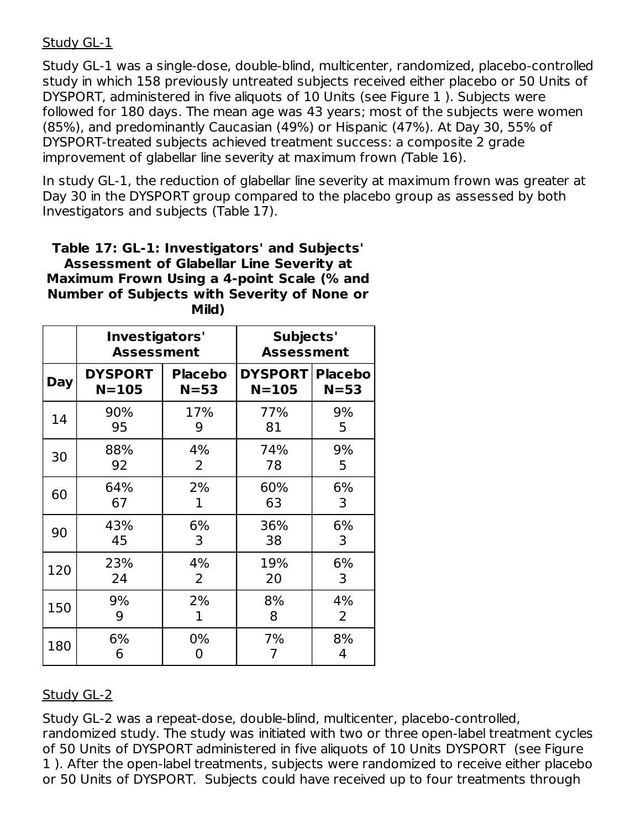### Study GL-1

Study GL-1 was a single-dose, double-blind, multicenter, randomized, placebo-controlled study in which 158 previously untreated subjects received either placebo or 50 Units of DYSPORT, administered in five aliquots of 10 Units (see Figure 1 ). Subjects were followed for 180 days. The mean age was 43 years; most of the subjects were women (85%), and predominantly Caucasian (49%) or Hispanic (47%). At Day 30, 55% of DYSPORT-treated subjects achieved treatment success: a composite 2 grade improvement of glabellar line severity at maximum frown (Table 16).

In study GL-1, the reduction of glabellar line severity at maximum frown was greater at Day 30 in the DYSPORT group compared to the placebo group as assessed by both Investigators and subjects (Table 17).

#### **Table 17: GL-1: Investigators' and Subjects' Assessment of Glabellar Line Severity at Maximum Frown Using a 4-point Scale (% and Number of Subjects with Severity of None or Mild)**

|            | Investigators'<br><b>Assessment</b> |                | Subjects'<br><b>Assessment</b> |                |
|------------|-------------------------------------|----------------|--------------------------------|----------------|
| <b>Day</b> | <b>DYSPORT</b>                      | <b>Placebo</b> | <b>DYSPORT</b>                 | <b>Placebo</b> |
|            | $N = 105$                           | $N = 53$       | $N = 105$                      | $N = 53$       |
| 14         | 90%                                 | 17%            | 77%                            | 9%             |
|            | 95                                  | 9              | 81                             | 5              |
| 30         | 88%                                 | 4%             | 74%                            | 9%             |
|            | 92                                  | 2              | 78                             | 5              |
| 60         | 64%                                 | 2%             | 60%                            | 6%             |
|            | 67                                  | 1              | 63                             | 3              |
| 90         | 43%                                 | 6%             | 36%                            | 6%             |
|            | 45                                  | 3              | 38                             | 3              |
| 120        | 23%                                 | 4%             | 19%                            | 6%             |
|            | 24                                  | 2              | 20                             | 3              |
| 150        | 9%                                  | 2%             | 8%                             | 4%             |
|            | 9                                   | 1              | 8                              | 2              |
| 180        | 6%                                  | $0\%$          | 7%                             | 8%             |
|            | 6                                   | 0              | 7                              | 4              |

# Study GL-2

Study GL-2 was a repeat-dose, double-blind, multicenter, placebo-controlled, randomized study. The study was initiated with two or three open-label treatment cycles of 50 Units of DYSPORT administered in five aliquots of 10 Units DYSPORT (see Figure 1 ). After the open-label treatments, subjects were randomized to receive either placebo or 50 Units of DYSPORT. Subjects could have received up to four treatments through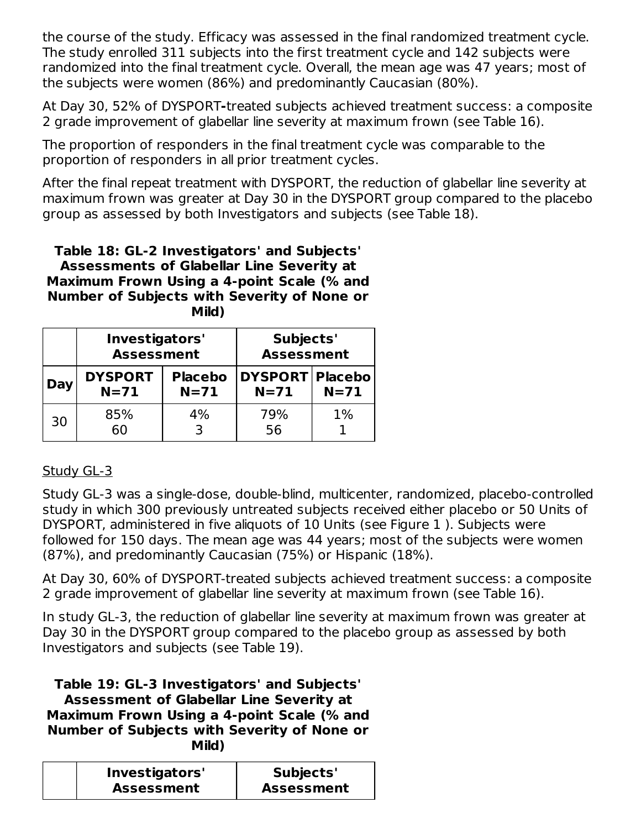the course of the study. Efficacy was assessed in the final randomized treatment cycle. The study enrolled 311 subjects into the first treatment cycle and 142 subjects were randomized into the final treatment cycle. Overall, the mean age was 47 years; most of the subjects were women (86%) and predominantly Caucasian (80%).

At Day 30, 52% of DYSPORT**-**treated subjects achieved treatment success: a composite 2 grade improvement of glabellar line severity at maximum frown (see Table 16).

The proportion of responders in the final treatment cycle was comparable to the proportion of responders in all prior treatment cycles.

After the final repeat treatment with DYSPORT, the reduction of glabellar line severity at maximum frown was greater at Day 30 in the DYSPORT group compared to the placebo group as assessed by both Investigators and subjects (see Table 18).

**Table 18: GL-2 Investigators' and Subjects' Assessments of Glabellar Line Severity at Maximum Frown Using a 4-point Scale (% and Number of Subjects with Severity of None or Mild)**

|     | Investigators'<br><b>Assessment</b> |                          | Subjects'<br><b>Assessment</b> |        |
|-----|-------------------------------------|--------------------------|--------------------------------|--------|
| Day | <b>DYSPORT</b><br>$N=71$            | <b>Placebo</b><br>$N=71$ | DYSPORT Placebo<br>$N=71$      | $N=71$ |
| 30  | 85%<br>60                           | 4%<br>₹                  | 79%<br>56                      | $1\%$  |

# Study GL-3

Study GL-3 was a single-dose, double-blind, multicenter, randomized, placebo-controlled study in which 300 previously untreated subjects received either placebo or 50 Units of DYSPORT, administered in five aliquots of 10 Units (see Figure 1 ). Subjects were followed for 150 days. The mean age was 44 years; most of the subjects were women (87%), and predominantly Caucasian (75%) or Hispanic (18%).

At Day 30, 60% of DYSPORT-treated subjects achieved treatment success: a composite 2 grade improvement of glabellar line severity at maximum frown (see Table 16).

In study GL-3, the reduction of glabellar line severity at maximum frown was greater at Day 30 in the DYSPORT group compared to the placebo group as assessed by both Investigators and subjects (see Table 19).

**Table 19: GL-3 Investigators' and Subjects' Assessment of Glabellar Line Severity at Maximum Frown Using a 4-point Scale (% and Number of Subjects with Severity of None or Mild)**

| Investigators'    | Subjects'         |
|-------------------|-------------------|
| <b>Assessment</b> | <b>Assessment</b> |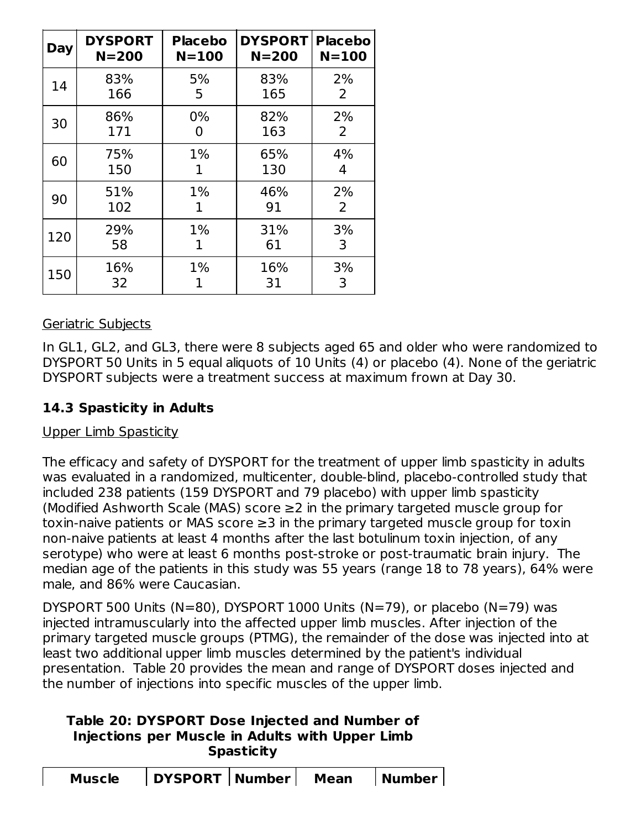| Day | <b>DYSPORT</b> | <b>Placebo</b> | <b>DYSPORT</b> | <b>Placebo</b> |
|-----|----------------|----------------|----------------|----------------|
|     | $N = 200$      | $N = 100$      | $N = 200$      | $N = 100$      |
| 14  | 83%            | 5%             | 83%            | 2%             |
|     | 166            | 5              | 165            | 2              |
| 30  | 86%            | 0%             | 82%            | 2%             |
|     | 171            | 0              | 163            | 2              |
| 60  | 75%            | $1\%$          | 65%            | 4%             |
|     | 150            | 1              | 130            | 4              |
| 90  | 51%            | $1\%$          | 46%            | 2%             |
|     | 102            | ı.             | 91             | 2              |
| 120 | 29%            | $1\%$          | 31%            | 3%             |
|     | 58             | 1              | 61             | 3              |
| 150 | 16%<br>32      | $1\%$          | 16%<br>31      | 3%<br>3        |

# Geriatric Subjects

In GL1, GL2, and GL3, there were 8 subjects aged 65 and older who were randomized to DYSPORT 50 Units in 5 equal aliquots of 10 Units (4) or placebo (4). None of the geriatric DYSPORT subjects were a treatment success at maximum frown at Day 30.

# **14.3 Spasticity in Adults**

### Upper Limb Spasticity

The efficacy and safety of DYSPORT for the treatment of upper limb spasticity in adults was evaluated in a randomized, multicenter, double-blind, placebo-controlled study that included 238 patients (159 DYSPORT and 79 placebo) with upper limb spasticity (Modified Ashworth Scale (MAS) score ≥2 in the primary targeted muscle group for toxin-naive patients or MAS score ≥3 in the primary targeted muscle group for toxin non-naive patients at least 4 months after the last botulinum toxin injection, of any serotype) who were at least 6 months post-stroke or post-traumatic brain injury. The median age of the patients in this study was 55 years (range 18 to 78 years), 64% were male, and 86% were Caucasian.

DYSPORT 500 Units (N=80), DYSPORT 1000 Units (N=79), or placebo (N=79) was injected intramuscularly into the affected upper limb muscles. After injection of the primary targeted muscle groups (PTMG), the remainder of the dose was injected into at least two additional upper limb muscles determined by the patient's individual presentation. Table 20 provides the mean and range of DYSPORT doses injected and the number of injections into specific muscles of the upper limb.

## **Table 20: DYSPORT Dose Injected and Number of Injections per Muscle in Adults with Upper Limb Spasticity**

| <b>Muscle</b> | DYSPORT   Number |  | Mean | Number |  |
|---------------|------------------|--|------|--------|--|
|---------------|------------------|--|------|--------|--|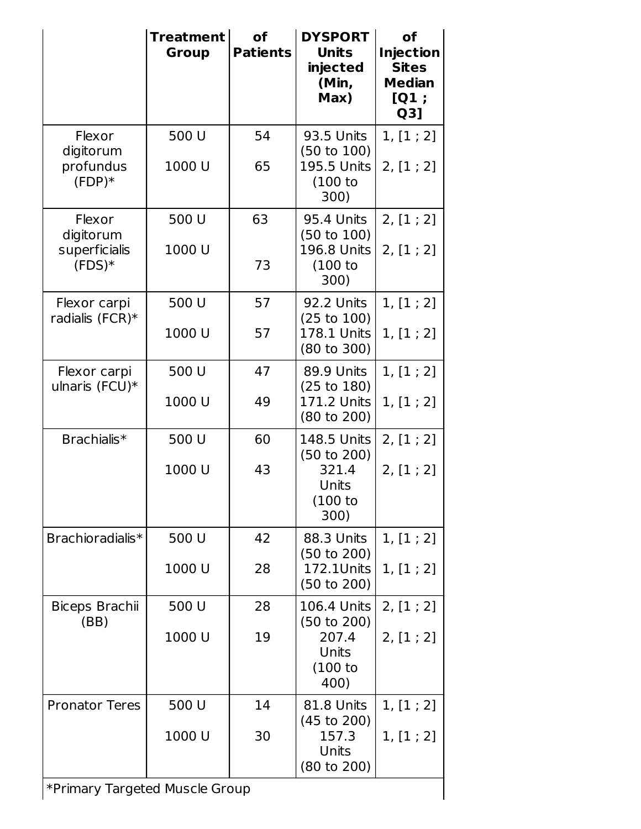|                                                         | <b>Treatment</b><br><b>Group</b> | <b>of</b><br><b>Patients</b> | <b>DYSPORT</b><br><b>Units</b><br>injected<br>(Min,<br>Max)                   | <b>of</b><br><b>Injection</b><br><b>Sites</b><br><b>Median</b><br>[Q1;<br>Q3] |
|---------------------------------------------------------|----------------------------------|------------------------------|-------------------------------------------------------------------------------|-------------------------------------------------------------------------------|
| Flexor<br>digitorum<br>profundus<br>$(FDP)*$            | 500 U<br>1000 U                  | 54<br>65                     | 93.5 Units<br>(50 to 100)<br>195.5 Units<br>(100 to<br>300)                   | 1, [1; 2]<br>2, [1; 2]                                                        |
| Flexor<br>digitorum<br>superficialis<br>$(FDS)*$        | 500 U<br>1000 U                  | 63<br>73                     | 95.4 Units<br>(50 to 100)<br><b>196.8 Units</b><br>(100 to<br>300)            | 2, [1; 2]<br>2, [1; 2]                                                        |
| Flexor carpi<br>radialis (FCR)*                         | 500 U<br>1000 U                  | 57<br>57                     | 92.2 Units<br>(25 to 100)<br>178.1 Units<br>$(80 \text{ to } 300)$            | 1, [1; 2]<br>1, [1; 2]                                                        |
| Flexor carpi<br>ulnaris (FCU)*                          | 500 U<br>1000 U                  | 47<br>49                     | 89.9 Units<br>(25 to 180)<br>171.2 Units<br>$(80 \text{ to } 200)$            | 1, [1; 2]<br>1, [1; 2]                                                        |
| Brachialis <sup>*</sup>                                 | 500 U<br>1000 U                  | 60<br>43                     | 148.5 Units<br>(50 to 200)<br>321.4<br>Units<br>(100 to<br>300)               | 2, [1; 2]<br>2, [1; 2]                                                        |
| Brachioradialis*                                        | 500 U<br>1000 U                  | 42<br>28                     | 88.3 Units<br>(50 to 200)<br>172.1Units<br>(50 to 200)                        | 1, [1; 2]<br>1, [1; 2]                                                        |
| Biceps Brachii<br>(BB)                                  | 500 U<br>1000 U                  | 28<br>19                     | <b>106.4 Units</b><br>(50 to 200)<br>207.4<br><b>Units</b><br>(100 to<br>400) | 2, [1; 2]<br>2, [1; 2]                                                        |
| <b>Pronator Teres</b><br>*Primary Targeted Muscle Group | 500 U<br>1000 U                  | 14<br>30                     | 81.8 Units<br>$(45 \text{ to } 200)$<br>157.3<br><b>Units</b><br>(80 to 200)  | 1, [1; 2]<br>1, [1; 2]                                                        |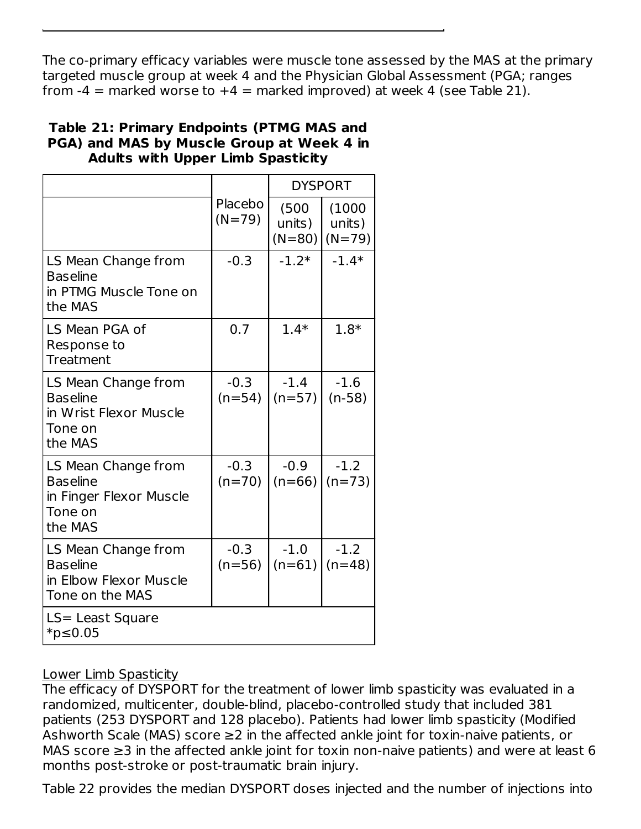The co-primary efficacy variables were muscle tone assessed by the MAS at the primary targeted muscle group at week 4 and the Physician Global Assessment (PGA; ranges from  $-4$  = marked worse to  $+4$  = marked improved) at week 4 (see Table 21).

### **Table 21: Primary Endpoints (PTMG MAS and PGA) and MAS by Muscle Group at Week 4 in Adults with Upper Limb Spasticity**

|                                                                                         |                     |                             | <b>DYSPORT</b>               |
|-----------------------------------------------------------------------------------------|---------------------|-----------------------------|------------------------------|
|                                                                                         | Placebo<br>$(N=79)$ | (500)<br>units)<br>$(N=80)$ | (1000)<br>units)<br>$(N=79)$ |
| LS Mean Change from<br><b>Baseline</b><br>in PTMG Muscle Tone on<br>the MAS             | $-0.3$              | $-1.2*$                     | $-1.4*$                      |
| LS Mean PGA of<br>Response to<br><b>Treatment</b>                                       | 0.7                 | $1.4*$                      | $1.8*$                       |
| LS Mean Change from<br><b>Baseline</b><br>in Wrist Flexor Muscle<br>Tone on<br>the MAS  | $-0.3$<br>$(n=54)$  | $-1.4$<br>$(n=57)$          | $-1.6$<br>$(n-58)$           |
| LS Mean Change from<br><b>Baseline</b><br>in Finger Flexor Muscle<br>Tone on<br>the MAS | $-0.3$<br>$(n=70)$  | $-0.9$<br>$(n=66)$          | $-1.2$<br>$(n=73)$           |
| LS Mean Change from<br><b>Baseline</b><br>in Elbow Flexor Muscle<br>Tone on the MAS     | $-0.3$<br>$(n=56)$  | $-1.0$<br>$(n=61)$          | $-1.2$<br>$(n=48)$           |
| LS= Least Square<br>$*$ p≤0.05                                                          |                     |                             |                              |

# Lower Limb Spasticity

The efficacy of DYSPORT for the treatment of lower limb spasticity was evaluated in a randomized, multicenter, double-blind, placebo-controlled study that included 381 patients (253 DYSPORT and 128 placebo). Patients had lower limb spasticity (Modified Ashworth Scale (MAS) score ≥2 in the affected ankle joint for toxin-naive patients, or MAS score  $\geq$ 3 in the affected ankle joint for toxin non-naive patients) and were at least 6 months post-stroke or post-traumatic brain injury.

Table 22 provides the median DYSPORT doses injected and the number of injections into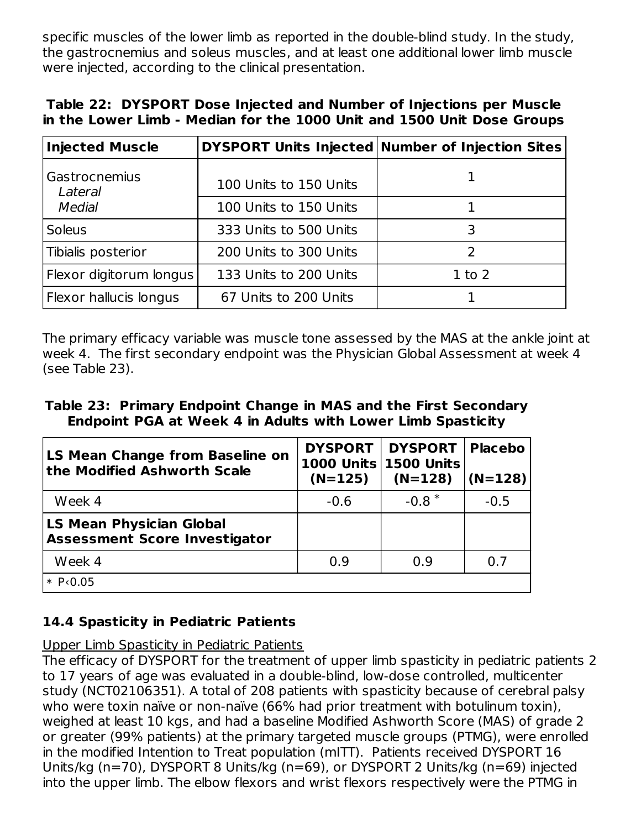specific muscles of the lower limb as reported in the double-blind study. In the study, the gastrocnemius and soleus muscles, and at least one additional lower limb muscle were injected, according to the clinical presentation.

|  | Table 22: DYSPORT Dose Injected and Number of Injections per Muscle    |  |  |  |  |
|--|------------------------------------------------------------------------|--|--|--|--|
|  | in the Lower Limb - Median for the 1000 Unit and 1500 Unit Dose Groups |  |  |  |  |

| <b>Injected Muscle</b>   |                        | DYSPORT Units Injected Number of Injection Sites |
|--------------------------|------------------------|--------------------------------------------------|
| Gastrocnemius<br>Lateral | 100 Units to 150 Units |                                                  |
| <b>Medial</b>            | 100 Units to 150 Units |                                                  |
| <b>Soleus</b>            | 333 Units to 500 Units | 3                                                |
| Tibialis posterior       | 200 Units to 300 Units |                                                  |
| Flexor digitorum longus  | 133 Units to 200 Units | $1$ to $2$                                       |
| Flexor hallucis longus   | 67 Units to 200 Units  |                                                  |

The primary efficacy variable was muscle tone assessed by the MAS at the ankle joint at week 4. The first secondary endpoint was the Physician Global Assessment at week 4 (see Table 23).

#### **Table 23: Primary Endpoint Change in MAS and the First Secondary Endpoint PGA at Week 4 in Adults with Lower Limb Spasticity**

| LS Mean Change from Baseline on<br>$ $ the Modified Ashworth Scale      | <b>DYSPORT</b><br>$(N=125)$ | <b>DYSPORT</b><br>1000 Units 1500 Units<br>$(N=128)$ | <b>Placebo</b><br>$(N=128)$ |
|-------------------------------------------------------------------------|-----------------------------|------------------------------------------------------|-----------------------------|
| Week 4                                                                  | $-0.6$                      | $-0.8$ <sup>*</sup>                                  | $-0.5$                      |
| <b>LS Mean Physician Global</b><br><b>Assessment Score Investigator</b> |                             |                                                      |                             |
| Week 4                                                                  | 0.9                         | 0.9                                                  | 0.7                         |
| $* P0.05$                                                               |                             |                                                      |                             |

# **14.4 Spasticity in Pediatric Patients**

Upper Limb Spasticity in Pediatric Patients

The efficacy of DYSPORT for the treatment of upper limb spasticity in pediatric patients 2 to 17 years of age was evaluated in a double-blind, low-dose controlled, multicenter study (NCT02106351). A total of 208 patients with spasticity because of cerebral palsy who were toxin naïve or non-naïve (66% had prior treatment with botulinum toxin), weighed at least 10 kgs, and had a baseline Modified Ashworth Score (MAS) of grade 2 or greater (99% patients) at the primary targeted muscle groups (PTMG), were enrolled in the modified Intention to Treat population (mITT). Patients received DYSPORT 16 Units/kg (n=70), DYSPORT 8 Units/kg (n=69), or DYSPORT 2 Units/kg (n=69) injected into the upper limb. The elbow flexors and wrist flexors respectively were the PTMG in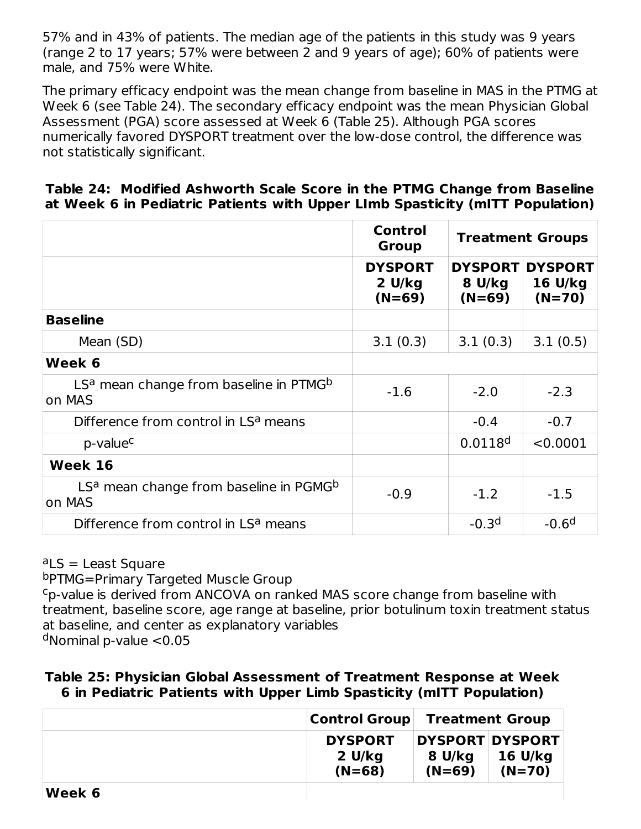57% and in 43% of patients. The median age of the patients in this study was 9 years (range 2 to 17 years; 57% were between 2 and 9 years of age); 60% of patients were male, and 75% were White.

The primary efficacy endpoint was the mean change from baseline in MAS in the PTMG at Week 6 (see Table 24). The secondary efficacy endpoint was the mean Physician Global Assessment (PGA) score assessed at Week 6 (Table 25). Although PGA scores numerically favored DYSPORT treatment over the low-dose control, the difference was not statistically significant.

|  |  | Table 24: Modified Ashworth Scale Score in the PTMG Change from Baseline |                                                                              |
|--|--|--------------------------------------------------------------------------|------------------------------------------------------------------------------|
|  |  |                                                                          | at Week 6 in Pediatric Patients with Upper LImb Spasticity (mITT Population) |

|                                                                          | Control<br><b>Group</b>                                      | <b>Treatment Groups</b>              |                                       |  |
|--------------------------------------------------------------------------|--------------------------------------------------------------|--------------------------------------|---------------------------------------|--|
|                                                                          | <b>DYSPORT</b><br>$2 \frac{\text{U}}{\text{kg}}$<br>$(N=69)$ | <b>DYSPORT</b><br>8 U/kg<br>$(N=69)$ | <b>DYSPORT</b><br>16 U/kg<br>$(N=70)$ |  |
| <b>Baseline</b>                                                          |                                                              |                                      |                                       |  |
| Mean (SD)                                                                | 3.1(0.3)                                                     | 3.1(0.3)                             | 3.1(0.5)                              |  |
| Week 6                                                                   |                                                              |                                      |                                       |  |
| LS <sup>a</sup> mean change from baseline in PTMG <sup>b</sup><br>on MAS | $-1.6$                                                       | $-2.0$                               | $-2.3$                                |  |
| Difference from control in LS <sup>a</sup> means                         |                                                              | $-0.4$                               | $-0.7$                                |  |
| p-value <sup>c</sup>                                                     |                                                              | 0.0118 <sup>d</sup>                  | < 0.0001                              |  |
| Week 16                                                                  |                                                              |                                      |                                       |  |
| LS <sup>a</sup> mean change from baseline in PGMG <sup>b</sup><br>on MAS | $-0.9$                                                       | $-1.2$                               | $-1.5$                                |  |
| Difference from control in LS <sup>a</sup> means                         |                                                              | $-0.3d$                              | $-0.6d$                               |  |

<sup>a</sup>LS = Least Square

b<sub>PTMG</sub>=Primary Targeted Muscle Group

<sup>c</sup>p-value is derived from ANCOVA on ranked MAS score change from baseline with treatment, baseline score, age range at baseline, prior botulinum toxin treatment status at baseline, and center as explanatory variables

<sup>d</sup>Nominal p-value <0.05

#### **Table 25: Physician Global Assessment of Treatment Response at Week 6 in Pediatric Patients with Upper Limb Spasticity (mITT Population)**

|        | Control Group                        | <b>Treatment Group</b> |                                        |  |
|--------|--------------------------------------|------------------------|----------------------------------------|--|
|        | <b>DYSPORT</b><br>2 U/kg<br>$(N=68)$ | 8 U/kg<br>$(N=69)$     | DYSPORT DYSPORT<br>16 U/kg<br>$(N=70)$ |  |
| Week 6 |                                      |                        |                                        |  |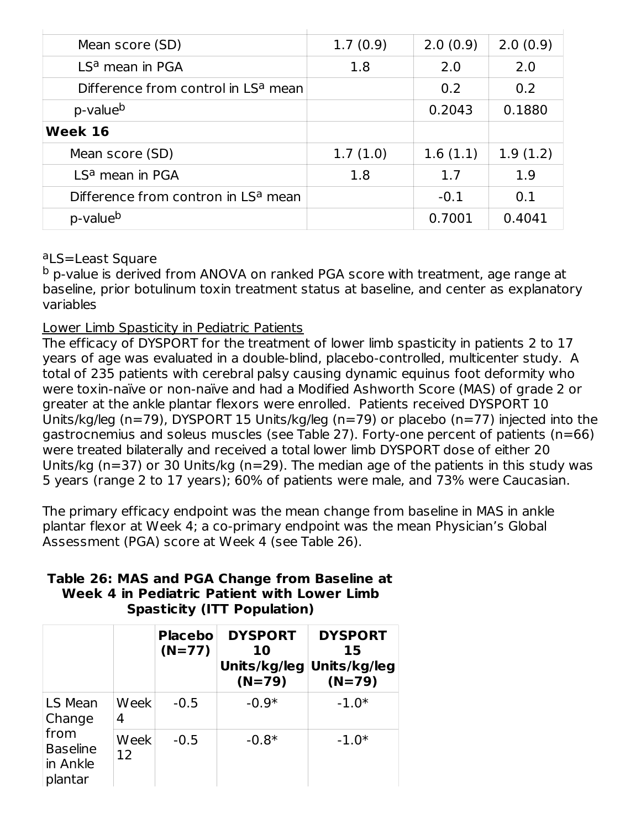| Mean score (SD)                                 | 1.7(0.9) | 2.0(0.9) | 2.0(0.9) |
|-------------------------------------------------|----------|----------|----------|
| LS <sup>a</sup> mean in PGA                     | 1.8      | 2.0      | 2.0      |
| Difference from control in LS <sup>a</sup> mean |          | 0.2      | 0.2      |
| p-value <sup>b</sup>                            |          | 0.2043   | 0.1880   |
| Week 16                                         |          |          |          |
| Mean score (SD)                                 | 1.7(1.0) | 1.6(1.1) | 1.9(1.2) |
| LS <sup>a</sup> mean in PGA                     | 1.8      | 1.7      | 1.9      |
| Difference from contron in LS <sup>a</sup> mean |          | $-0.1$   | 0.1      |
| p-value <sup>b</sup>                            |          | 0.7001   | 0.4041   |

#### aLS=Least Square

<sup>b</sup> p-value is derived from ANOVA on ranked PGA score with treatment, age range at baseline, prior botulinum toxin treatment status at baseline, and center as explanatory variables

#### Lower Limb Spasticity in Pediatric Patients

The efficacy of DYSPORT for the treatment of lower limb spasticity in patients 2 to 17 years of age was evaluated in a double-blind, placebo-controlled, multicenter study. A total of 235 patients with cerebral palsy causing dynamic equinus foot deformity who were toxin-naïve or non-naïve and had a Modified Ashworth Score (MAS) of grade 2 or greater at the ankle plantar flexors were enrolled. Patients received DYSPORT 10 Units/kg/leg (n=79), DYSPORT 15 Units/kg/leg (n=79) or placebo (n=77) injected into the gastrocnemius and soleus muscles (see Table 27). Forty-one percent of patients (n=66) were treated bilaterally and received a total lower limb DYSPORT dose of either 20 Units/kg (n=37) or 30 Units/kg (n=29). The median age of the patients in this study was 5 years (range 2 to 17 years); 60% of patients were male, and 73% were Caucasian.

The primary efficacy endpoint was the mean change from baseline in MAS in ankle plantar flexor at Week 4; a co-primary endpoint was the mean Physician's Global Assessment (PGA) score at Week 4 (see Table 26).

|                                                |            | <b>Placebo</b><br>$(N=77)$ | <b>DYSPORT</b><br>10<br>Units/kg/leg Units/kg/leg<br>$(N=79)$ | <b>DYSPORT</b><br>15<br>$(N=79)$ |
|------------------------------------------------|------------|----------------------------|---------------------------------------------------------------|----------------------------------|
| LS Mean<br>Change                              | Week<br>4  | $-0.5$                     | $-0.9*$                                                       | $-1.0*$                          |
| from<br><b>Baseline</b><br>in Ankle<br>plantar | Week<br>12 | $-0.5$                     | $-0.8*$                                                       | $-1.0*$                          |

#### **Table 26: MAS and PGA Change from Baseline at Week 4 in Pediatric Patient with Lower Limb Spasticity (ITT Population)**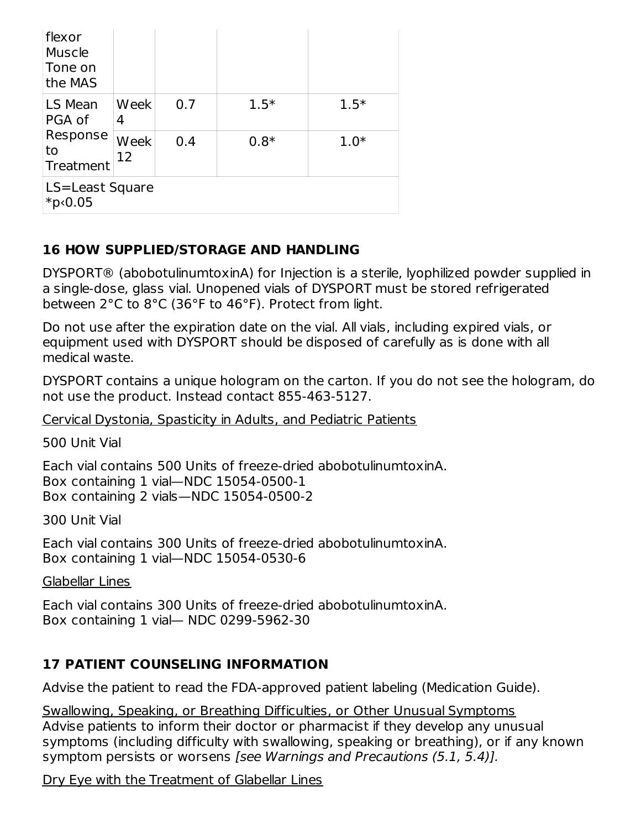| flexor<br>Muscle<br>Tone on<br>the MAS |            |     |        |        |  |
|----------------------------------------|------------|-----|--------|--------|--|
| LS Mean<br>PGA of                      | Week<br>4  | 0.7 | $1.5*$ | $1.5*$ |  |
| Response<br>to<br>Treatment            | Week<br>12 | 0.4 | $0.8*$ | $1.0*$ |  |
| LS=Least Square<br>*p<0.05             |            |     |        |        |  |

# **16 HOW SUPPLIED/STORAGE AND HANDLING**

DYSPORT® (abobotulinumtoxinA) for Injection is a sterile, lyophilized powder supplied in a single-dose, glass vial. Unopened vials of DYSPORT must be stored refrigerated between 2°C to 8°C (36°F to 46°F). Protect from light.

Do not use after the expiration date on the vial. All vials, including expired vials, or equipment used with DYSPORT should be disposed of carefully as is done with all medical waste.

DYSPORT contains a unique hologram on the carton. If you do not see the hologram, do not use the product. Instead contact 855-463-5127.

Cervical Dystonia, Spasticity in Adults, and Pediatric Patients

500 Unit Vial

Each vial contains 500 Units of freeze-dried abobotulinumtoxinA. Box containing 1 vial—NDC 15054-0500-1 Box containing 2 vials—NDC 15054-0500-2

300 Unit Vial

Each vial contains 300 Units of freeze-dried abobotulinumtoxinA. Box containing 1 vial—NDC 15054-0530-6

#### Glabellar Lines

Each vial contains 300 Units of freeze-dried abobotulinumtoxinA. Box containing 1 vial— NDC 0299-5962-30

# **17 PATIENT COUNSELING INFORMATION**

Advise the patient to read the FDA-approved patient labeling (Medication Guide).

Swallowing, Speaking, or Breathing Difficulties, or Other Unusual Symptoms Advise patients to inform their doctor or pharmacist if they develop any unusual symptoms (including difficulty with swallowing, speaking or breathing), or if any known symptom persists or worsens [see Warnings and Precautions (5.1, 5.4)].

Dry Eye with the Treatment of Glabellar Lines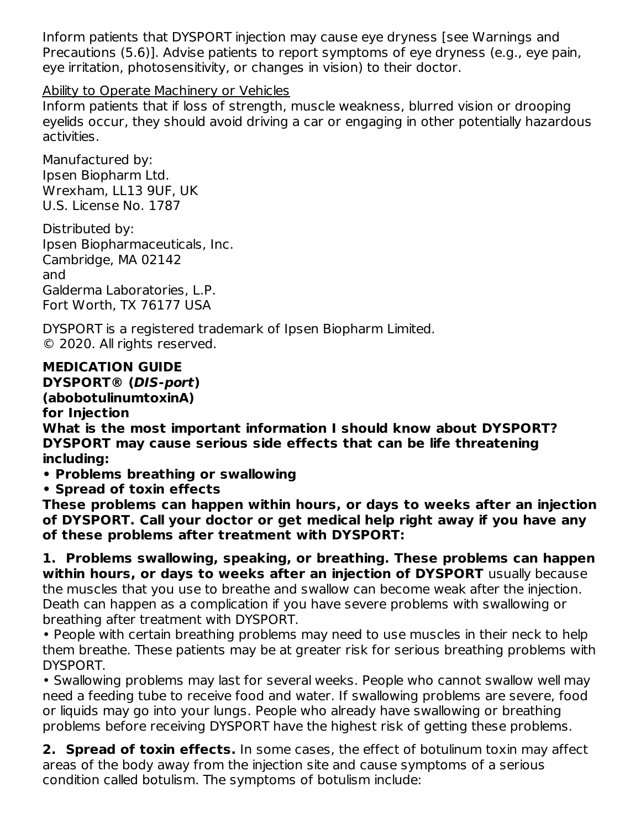Inform patients that DYSPORT injection may cause eye dryness [see Warnings and Precautions (5.6)]. Advise patients to report symptoms of eye dryness (e.g., eye pain, eye irritation, photosensitivity, or changes in vision) to their doctor.

## Ability to Operate Machinery or Vehicles

Inform patients that if loss of strength, muscle weakness, blurred vision or drooping eyelids occur, they should avoid driving a car or engaging in other potentially hazardous activities.

Manufactured by: Ipsen Biopharm Ltd. Wrexham, LL13 9UF, UK U.S. License No. 1787

Distributed by: Ipsen Biopharmaceuticals, Inc. Cambridge, MA 02142 and Galderma Laboratories, L.P. Fort Worth, TX 76177 USA

DYSPORT is a registered trademark of Ipsen Biopharm Limited. © 2020. All rights reserved.

# **MEDICATION GUIDE**

**DYSPORT® (DIS-port)**

### **(abobotulinumtoxinA)**

#### **for Injection**

**What is the most important information I should know about DYSPORT? DYSPORT may cause serious side effects that can be life threatening including:**

**• Problems breathing or swallowing**

**• Spread of toxin effects**

**These problems can happen within hours, or days to weeks after an injection of DYSPORT. Call your doctor or get medical help right away if you have any of these problems after treatment with DYSPORT:**

**1. Problems swallowing, speaking, or breathing. These problems can happen within hours, or days to weeks after an injection of DYSPORT** usually because the muscles that you use to breathe and swallow can become weak after the injection. Death can happen as a complication if you have severe problems with swallowing or breathing after treatment with DYSPORT.

• People with certain breathing problems may need to use muscles in their neck to help them breathe. These patients may be at greater risk for serious breathing problems with DYSPORT.

• Swallowing problems may last for several weeks. People who cannot swallow well may need a feeding tube to receive food and water. If swallowing problems are severe, food or liquids may go into your lungs. People who already have swallowing or breathing problems before receiving DYSPORT have the highest risk of getting these problems.

**2. Spread of toxin effects.** In some cases, the effect of botulinum toxin may affect areas of the body away from the injection site and cause symptoms of a serious condition called botulism. The symptoms of botulism include: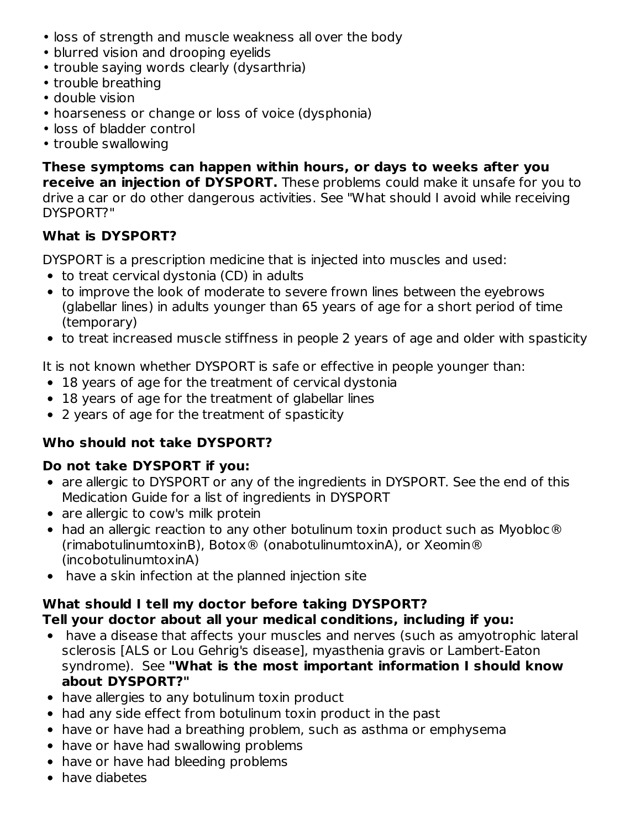- loss of strength and muscle weakness all over the body
- blurred vision and drooping eyelids
- trouble saying words clearly (dysarthria)
- trouble breathing
- double vision
- hoarseness or change or loss of voice (dysphonia)
- loss of bladder control
- trouble swallowing

**These symptoms can happen within hours, or days to weeks after you receive an injection of DYSPORT.** These problems could make it unsafe for you to drive a car or do other dangerous activities. See "What should I avoid while receiving DYSPORT?"

# **What is DYSPORT?**

DYSPORT is a prescription medicine that is injected into muscles and used:

- to treat cervical dystonia (CD) in adults
- to improve the look of moderate to severe frown lines between the eyebrows (glabellar lines) in adults younger than 65 years of age for a short period of time (temporary)
- to treat increased muscle stiffness in people 2 years of age and older with spasticity

It is not known whether DYSPORT is safe or effective in people younger than:

- 18 years of age for the treatment of cervical dystonia
- 18 years of age for the treatment of glabellar lines
- 2 years of age for the treatment of spasticity

# **Who should not take DYSPORT?**

# **Do not take DYSPORT if you:**

- are allergic to DYSPORT or any of the ingredients in DYSPORT. See the end of this Medication Guide for a list of ingredients in DYSPORT
- are allergic to cow's milk protein
- had an allergic reaction to any other botulinum toxin product such as Myobloc® (rimabotulinumtoxinB), Botox® (onabotulinumtoxinA), or Xeomin® (incobotulinumtoxinA)
- have a skin infection at the planned injection site

#### **What should I tell my doctor before taking DYSPORT? Tell your doctor about all your medical conditions, including if you:**

- have a disease that affects your muscles and nerves (such as amyotrophic lateral sclerosis [ALS or Lou Gehrig's disease], myasthenia gravis or Lambert-Eaton syndrome). See **"What is the most important information I should know about DYSPORT?"**
- have allergies to any botulinum toxin product
- had any side effect from botulinum toxin product in the past
- have or have had a breathing problem, such as asthma or emphysema
- have or have had swallowing problems
- have or have had bleeding problems
- have diabetes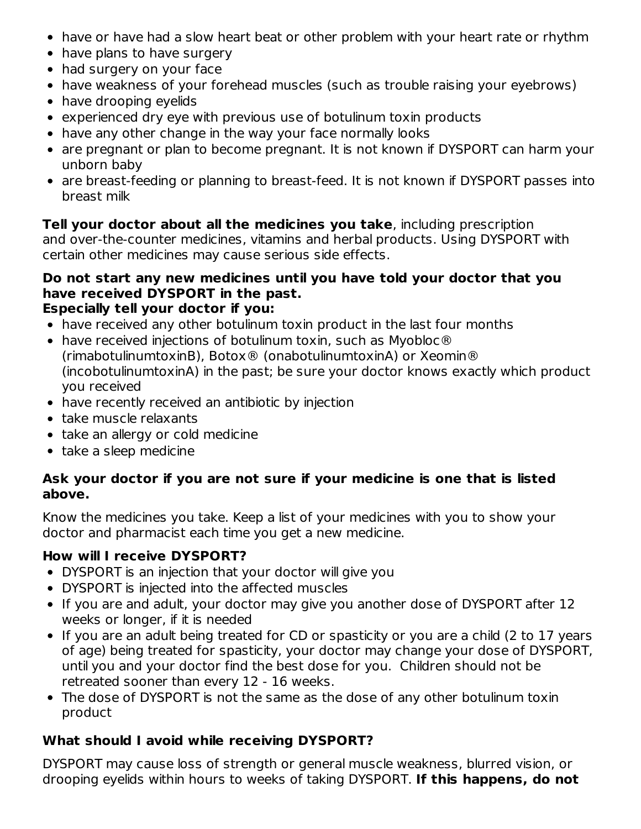- have or have had a slow heart beat or other problem with your heart rate or rhythm
- have plans to have surgery
- had surgery on your face
- have weakness of your forehead muscles (such as trouble raising your eyebrows)
- have drooping eyelids
- experienced dry eye with previous use of botulinum toxin products
- have any other change in the way your face normally looks
- are pregnant or plan to become pregnant. It is not known if DYSPORT can harm your unborn baby
- are breast-feeding or planning to breast-feed. It is not known if DYSPORT passes into breast milk

**Tell your doctor about all the medicines you take**, including prescription and over-the-counter medicines, vitamins and herbal products. Using DYSPORT with certain other medicines may cause serious side effects.

#### **Do not start any new medicines until you have told your doctor that you have received DYSPORT in the past. Especially tell your doctor if you:**

- have received any other botulinum toxin product in the last four months
- have received injections of botulinum toxin, such as Myobloc® (rimabotulinumtoxinB), Botox® (onabotulinumtoxinA) or Xeomin® (incobotulinumtoxinA) in the past; be sure your doctor knows exactly which product you received
- have recently received an antibiotic by injection
- take muscle relaxants
- take an allergy or cold medicine
- take a sleep medicine

### **Ask your doctor if you are not sure if your medicine is one that is listed above.**

Know the medicines you take. Keep a list of your medicines with you to show your doctor and pharmacist each time you get a new medicine.

# **How will I receive DYSPORT?**

- DYSPORT is an injection that your doctor will give you
- DYSPORT is injected into the affected muscles
- If you are and adult, your doctor may give you another dose of DYSPORT after 12 weeks or longer, if it is needed
- If you are an adult being treated for CD or spasticity or you are a child (2 to 17 years of age) being treated for spasticity, your doctor may change your dose of DYSPORT, until you and your doctor find the best dose for you. Children should not be retreated sooner than every 12 - 16 weeks.
- The dose of DYSPORT is not the same as the dose of any other botulinum toxin product

# **What should I avoid while receiving DYSPORT?**

DYSPORT may cause loss of strength or general muscle weakness, blurred vision, or drooping eyelids within hours to weeks of taking DYSPORT. **If this happens, do not**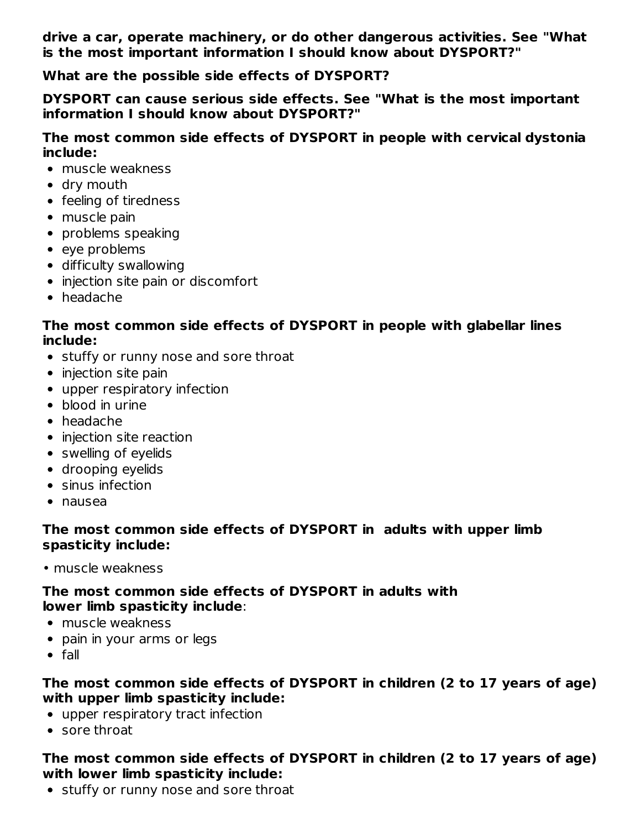**drive a car, operate machinery, or do other dangerous activities. See "What is the most important information I should know about DYSPORT?"**

**What are the possible side effects of DYSPORT?**

**DYSPORT can cause serious side effects. See "What is the most important information I should know about DYSPORT?"**

**The most common side effects of DYSPORT in people with cervical dystonia include:**

- muscle weakness
- dry mouth
- feeling of tiredness
- muscle pain
- problems speaking
- eve problems
- difficulty swallowing
- injection site pain or discomfort
- headache

#### **The most common side effects of DYSPORT in people with glabellar lines include:**

- stuffy or runny nose and sore throat
- injection site pain
- upper respiratory infection
- blood in urine
- headache
- injection site reaction
- swelling of eyelids
- drooping eyelids
- sinus infection
- nausea

# **The most common side effects of DYSPORT in adults with upper limb spasticity include:**

• muscle weakness

# **The most common side effects of DYSPORT in adults with lower limb spasticity include**:

- muscle weakness
- pain in your arms or legs
- $\bullet$  fall

## **The most common side effects of DYSPORT in children (2 to 17 years of age) with upper limb spasticity include:**

- upper respiratory tract infection
- sore throat

## **The most common side effects of DYSPORT in children (2 to 17 years of age) with lower limb spasticity include:**

• stuffy or runny nose and sore throat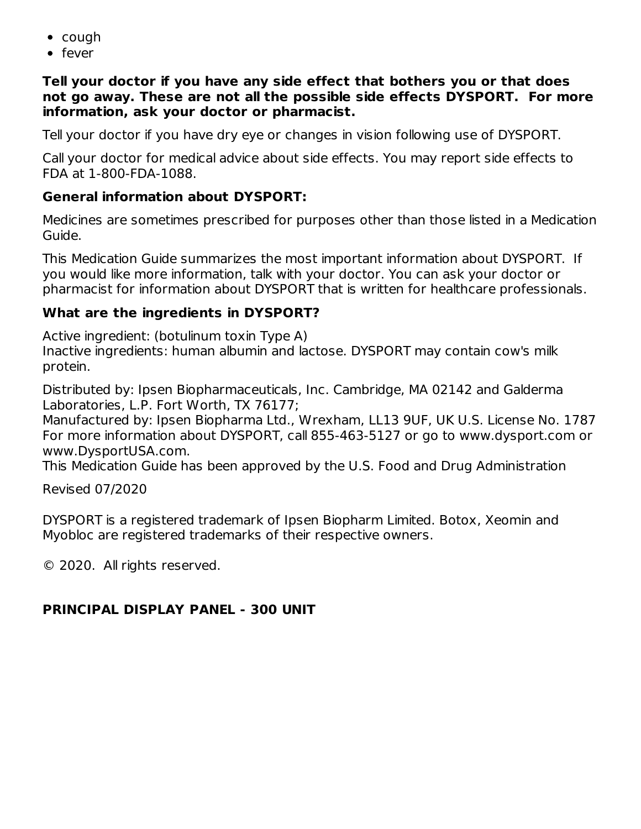- cough
- fever

#### **Tell your doctor if you have any side effect that bothers you or that does not go away. These are not all the possible side effects DYSPORT. For more information, ask your doctor or pharmacist.**

Tell your doctor if you have dry eye or changes in vision following use of DYSPORT.

Call your doctor for medical advice about side effects. You may report side effects to FDA at 1-800-FDA-1088.

# **General information about DYSPORT:**

Medicines are sometimes prescribed for purposes other than those listed in a Medication Guide.

This Medication Guide summarizes the most important information about DYSPORT. If you would like more information, talk with your doctor. You can ask your doctor or pharmacist for information about DYSPORT that is written for healthcare professionals.

## **What are the ingredients in DYSPORT?**

Active ingredient: (botulinum toxin Type A) Inactive ingredients: human albumin and lactose. DYSPORT may contain cow's milk protein.

Distributed by: Ipsen Biopharmaceuticals, Inc. Cambridge, MA 02142 and Galderma Laboratories, L.P. Fort Worth, TX 76177;

Manufactured by: Ipsen Biopharma Ltd., Wrexham, LL13 9UF, UK U.S. License No. 1787 For more information about DYSPORT, call 855-463-5127 or go to www.dysport.com or www.DysportUSA.com.

This Medication Guide has been approved by the U.S. Food and Drug Administration

Revised 07/2020

DYSPORT is a registered trademark of Ipsen Biopharm Limited. Botox, Xeomin and Myobloc are registered trademarks of their respective owners.

© 2020. All rights reserved.

# **PRINCIPAL DISPLAY PANEL - 300 UNIT**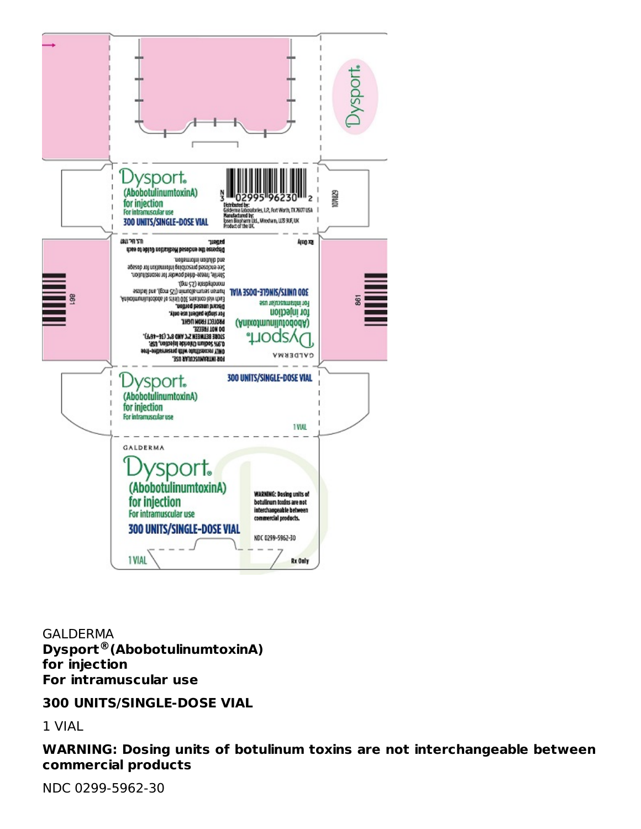

GALDERMA **Dysport (AbobotulinumtoxinA) ®for injection For intramuscular use**

#### **300 UNITS/SINGLE-DOSE VIAL**

1 VIAL

**WARNING: Dosing units of botulinum toxins are not interchangeable between commercial products**

NDC 0299-5962-30